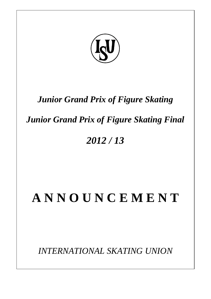

## *Junior Grand Prix of Figure Skating*

## *Junior Grand Prix of Figure Skating Final*

## *2012 / 13*

# **A N N O U N C E M E N T**

*INTERNATIONAL SKATING UNION*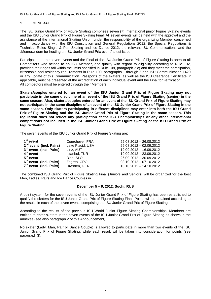### **1. GENERAL**

The ISU Junior Grand Prix of Figure Skating comprises seven (7) international junior Figure Skating events and the ISU Junior Grand Prix of Figure Skating Final. All seven events will be held with the approval and the assistance of the International Skating Union, under the responsibility of the organizing Member concerned and in accordance with the ISU Constitution and General Regulations 2012, the Special Regulations & Technical Rules Single & Pair Skating and Ice Dance 2012, the relevant ISU Communications and the "Memorandum for hosting an ISU Junior Grand Prix event" latest issue.

Participation in the seven events and the Final of the ISU Junior Grand Prix of Figure Skating is open to all Competitors who belong to an ISU Member, and qualify with regard to eligibility according to Rule 102, provided their ages fall within the limits specified in Rule 108, paragraph 2 c) and they meet the participation, citizenship and residency requirements in Rule 109, paragraphs 1 through 5 and ISU Communication 1420 or any update of this Communication. Passports of the skaters, as well as the ISU Clearance Certificate, if applicable, must be presented at the accreditation of each individual event and the Final for verification. All competitors must be entered through their Members.

**Skaters/couples entered for an event of the ISU Junior Grand Prix of Figure Skating may not participate in the same discipline of an event of the ISU Grand Prix of Figure Skating (senior) in the same season. Also, skaters/couples entered for an event of the ISU Grand Prix of Figure Skating may not participate in the same discipline of an event of the ISU Junior Grand Prix of Figure Skating in the same season. Only skaters participating in different disciplines may enter into both the ISU Grand Prix of Figure Skating and the ISU Junior Grand Prix of Figure Skating in the same season. This regulation does not reflect any participation at the ISU Championships or any other international competitions not included in the ISU Junior Grand Prix of Figure Skating or the ISU Grand Prix of Figure Skating.**

The seven events of the ISU Junior Grand Prix of Figure Skating are:

| $1st$ event                         | Courchevel, FRA  | 22.08.2012 - 26.08.2012   |
|-------------------------------------|------------------|---------------------------|
| 2 <sup>nd</sup> event (incl. Pairs) | Lake Placid, USA | 29.08.2012 - 02.09.2012   |
| 3 <sup>rd</sup> event (incl. Pairs) | Linz, AUT        | 12.09.2012 - 16.09.2012   |
| 4 <sup>th</sup> event               | Istanbul, TUR    | 19.09.2012 - 23.09.2012   |
| $5th$ event                         | Bled, SLO        | 26.09.2012 - 30.09.2012   |
| 6 <sup>th</sup> event (incl. Pairs) | Zagreb, CRO      | $03.10.2012 - 07.10.2012$ |
| 7 <sup>th</sup> event (incl. Pairs) | Dresden, GER     | 10.10.2012 - 14.10.2012   |

The combined ISU Grand Prix of Figure Skating Final (Juniors and Seniors) will be organized for the best Men, Ladies, Pairs and Ice Dance Couples in

#### **December 5 – 9, 2012, Sochi, RUS**

A point system for the seven events of the ISU Junior Grand Prix of Figure Skating has been established to qualify the skaters for the ISU Junior Grand Prix of Figure Skating Final. Points will be obtained according to the results in each of the seven events comprising the ISU Junior Grand Prix of Figure Skating.

According to the results of the previous ISU World Junior Figure Skating Championships, Members are entitled to enter skaters in the seven events of the ISU Junior Grand Prix of Figure Skating as shown in the annexes (see also paragraph 2 of this Announcement).

No skater (Lady, Man, Pair or Dance Couple) is allowed to participate in more than two events of the ISU Junior Grand Prix of Figure Skating, while each result will be taken into consideration for points (see paragraph 3).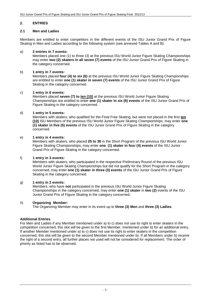#### **2. ENTRIES**

#### **2.1 Men and Ladies**

Members are entitled to enter competitors in the different events of the ISU Junior Grand Prix of Figure Skating in Men and Ladies according to the following system (see annexed Tables A and B):

#### a) **2 entries in 7 events:**

Members placed one (1) to three (3) at the previous ISU World Junior Figure Skating Championships may enter **two (2) skaters in all seven (7) events** of the ISU Junior Grand Prix of Figure Skating in the category concerned.

#### b) **1 entry in 7 events:**

Members placed **four (4) to six (6)** at the previous ISU World Junior Figure Skating Championships are entitled to enter **one (1) skater in seven (7) events** of the ISU Junior Grand Prix of Figure Skating in the category concerned.

#### c) **1 entry in 6 events:**

Members placed **seven (7) to ten (10)** at the previous ISU World Junior Figure Skating Championships are entitled to enter **one (1) skater in six (6) events** of the ISU Junior Grand Prix of Figure Skating in the category concerned.

#### d) **1 entry in 5 events:**

Members with skaters, who qualified for the Final Free Skating, but were not placed in the first **ten (10)** ISU Members of the previous ISU World Junior Figure Skating Championships, may enter **one (1) skater in five (5) events** of the ISU Junior Grand Prix of Figure Skating in the category concerned.

#### e) **1 entry in 4 events:**

Members with skaters, who placed **25 to 30** in the Short Program of the previous ISU World Junior Figure Skating Championships, may enter **one (1) skater in four (4) events** of the ISU Junior Grand Prix of Figure Skating in the category concerned.

#### f) **1 entry in 3 events:**

Members with skaters, who participated in the respective Preliminary Round of the previous ISU World Junior Figure Skating Championships but did not qualify for the Short Program in the category concerned, may enter **one (1) skater in three (3) events** of the ISU Junior Grand Prix of Figure Skating in the category concerned.

#### g) **1 entry in 2 events:**

Members, who have **not** participated in the previous ISU World Junior Figure Skating Championships in the category concerned, may enter **one (1) skater** in **two (2)** events of the ISU Junior Grand Prix of Figure Skating in the category concerned.

#### h) **Organizing Member:**

The Organizing Member may enter in its event up to **three (3) Men** and **three (3) Ladies**.

#### **Additional Entries**

For Men and Ladies if any Member mentioned under a) to c) does not use its right to enter skaters in the competition concerned, this slot will be given to the first Member, mentioned under b) for an additional entry. If another Member mentioned under a) to c) does not use its right to enter skaters in the competition concerned, this slot will be given to the second Member mentioned under b). If all Members under b) receive the right of a second entry, all further places not used will not be considered for replacement. The order of priority as listed has to be observed.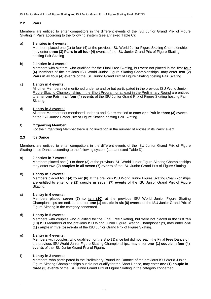#### **2.2 Pairs**

Members are entitled to enter competitors in the different events of the ISU Junior Grand Prix of Figure Skating in Pairs according to the following system (see annexed Table C):

#### a) **3 entries in 4 events:**

Members placed one (1) to four (4) at the previous ISU World Junior Figure Skating Championships may enter **three (3) Pairs in all four (4)** events of the ISU Junior Grand Prix of Figure Skating hosting Pair Skating.

#### b) **2 entries in 4 events:**

Members with skaters, who qualified for the Final Free Skating, but were not placed in the first **four (4)** Members of the previous ISU World Junior Figure Skating Championships, may enter **two (2) Pairs in all four (4) events** of the ISU Junior Grand Prix of Figure Skating hosting Pair Skating.

#### c) **1 entry in 4 events:**

All other Members not mentioned under a) and b) but participated in the previous ISU World Junior Figure Skating Championships in the Short Program or at least in the Preliminary Round are entitled to enter **one Pair in all four (4) events** of the ISU Junior Grand Prix of Figure Skating hosting Pair Skating.

#### d) **1 entry in 3 events:**

All other Members not mentioned under a) and c) are entitled to enter **one Pair in three (3) events** of the ISU Junior Grand Prix of Figure Skating hosting Pair Skating.

#### f) **Organizing Member:**

For the Organizing Member there is no limitation in the number of entries in its Pairs' event.

#### **2.3 Ice Dance**

Members are entitled to enter competitors in the different events of the ISU Junior Grand Prix of Figure Skating in Ice Dance according to the following system (see annexed Table D):

#### a) **2 entries in 7 events:**

Members placed one (1) to three (3) at the previous ISU World Junior Figure Skating Championships may enter **two (2) couples in all seven (7) events** of the ISU Junior Grand Prix of Figure Skating.

#### b) **1 entry in 7 events:**

Members placed **four (4) to six (6)** at the previous ISU World Junior Figure Skating Championships are entitled to enter **one (1) couple in seven (7) events** of the ISU Junior Grand Prix of Figure Skating.

#### c) **1 entry in 6 events:**

Members placed **seven (7) to ten (10)** at the previous ISU World Junior Figure Skating Championships are entitled to enter **one (1) couple in six (6) events** of the ISU Junior Grand Prix of Figure Skating in the category concerned.

#### d) **1 entry in 5 events:**

Members with couples who qualified for the Final Free Skating, but were not placed in the first **ten (10)** ISU Members of the previous ISU World Junior Figure Skating Championships, may enter **one (1) couple in five (5) events** of the ISU Junior Grand Prix of Figure Skating.

#### e) **1 entry in 4 events:**

Members with couples, who qualified for the Short Dance but did not reach the Final Free Dance of the previous ISU World Junior Figure Skating Championships, may enter **one (1) couple in four (4) events** of the ISU Junior Grand Prix of Figure.

#### f) **1 entry in 3 events:**

Members, who participated in the Preliminary Round Ice Dannce of the previous ISU World Junior Figure Skating Championships but did not qualify for the Short Dance, may enter **one (1) couple in three (3) events** of the ISU Junior Grand Prix of Figure Skating in the category concerned.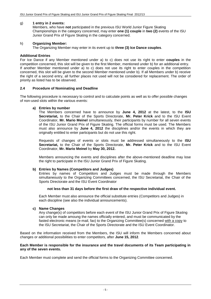#### g) **1 entry in 2 events:**

Members, who have **not** participated in the previous ISU World Junior Figure Skating Championships in the category concerned, may enter **one (1) couple** in **two (2)** events of the ISU Junior Grand Prix of Figure Skating in the category concerned.

#### h) **Organizing Member:**

The Organizing Member may enter in its event up to **three (3) Ice Dance couples**.

#### **Additional Entries**

For Ice Dance if any Member mentioned under a) to c) does not use its right to enter **couples** in the competition concerned, this slot will be given to the first Member, mentioned under b) for an additional entry. If another Member mentioned under a) to c) does not use its right to enter couples in the competition concerned, this slot will be given to the second Member mentioned under b). If all Members under b) receive the right of a second entry, all further places not used will not be considered for replacement. The order of priority as listed has to be observed.

#### **2.4 Procedure of Nominating and Deadline**

The following procedure is necessary to control and to calculate points as well as to offer possible changes of non-used slots within the various events:

#### **a) Entries by number**

The Members concerned have to announce by **June 4, 2012** at the latest, to the **ISU Secretariat,** to the Chair of the Sports Directorate, **Mr. Peter Krick** and to the ISU Event Coordinator, **Mr. Mario Meinel** simultaneously, their participants by number for all seven events of the ISU Junior Grand Prix of Figure Skating. The official forms must be used. The Members must also announce by **June 4, 2012** the disciplines and/or the events in which they are originally entitled to enter participants but do not use this right.

Requests of changes of events or slots must be addressed simultaneously to the **ISU Secretariat,** to the Chair of the Sports Directorate, **Mr. Peter Krick** and to the ISU Event Coordinator, **Mr. Mario Meinel** by **May 30, 2012.**

Members announcing the events and disciplines after the above-mentioned deadline may lose the right to participate in the ISU Junior Grand Prix of Figure Skating.

#### **b) Entries by Names (Competitors and Judges)**

Entries by names of Competitors and Judges must be made through the Members simultaneously to the Organizing Committees concerned, the ISU Secretariat, the Chair of the Sports Directorate and the ISU Event Coordinator

#### **not less than 31 days before the first draw of the respective individual event.**

Each Member must also announce the official substitute entries (Competitors and Judges) in each discipline (see also the individual announcements).

#### **c) Name Changes**

Any change(s) of competitors before each event of the ISU Junior Grand Prix of Figure Skating can only be made amoung the names officially entered, and must be communicated by the fasted electronic means (e-mail, fax) to the Organizing Committee(s) concerned with a copy to the ISU Secretariat, the Chair of the Sports Directorate and the ISU Event Coordinator.

Based on the information received from the Members, the ISU will inform the Members concerned about changes or additional possibilities to enter competitors, after **June 15, 2012**.

#### **Each Member is responsible for the insurance and the travel documents of its Team participating in any of the seven events.**

Each Member must complete and send the official forms to the Organizing Committee concerned.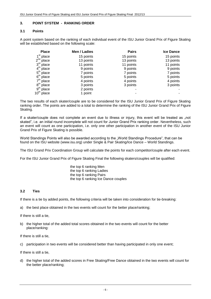#### **3. POINT SYSTEM - RANKING ORDER**

#### **3.1 Points**

A point system based on the ranking of each individual event of the ISU Junior Grand Prix of Figure Skating will be established based on the following scale:

| <b>Place</b>               | Men / Ladies | <b>Pairs</b> | <b>Ice Dance</b> |
|----------------------------|--------------|--------------|------------------|
| place                      | 15 points    | 15 points    | 15 points        |
| $2^{nd}$<br>place          | 13 points    | 13 points    | 13 points        |
| 3 <sup>rd</sup><br>place   | 11 points    | 11 points    | 11 points        |
| 4 <sup>th</sup><br>place   | 9 points     | 9 points     | 9 points         |
| $5^{\mathsf{th}}$<br>place | 7 points     | 7 points     | 7 points         |
| 6 <sup>th</sup><br>place   | 5 points     | 5 points     | 5 points         |
| 7 <sup>th</sup><br>place   | 4 points     | 4 points     | 4 points         |
| $8^{\text{th}}$<br>place   | 3 points     | 3 points     | 3 points         |
| 9 <sup>th</sup><br>place   | 2 points     |              |                  |
| $10^{\text{th}}$<br>place  | 1 point      |              |                  |

The two results of each skater/couple are to be considered for the ISU Junior Grand Prix of Figure Skating ranking order. The points are added to a total to determine the ranking of the ISU Junior Grand Prix of Figure Skating.

If a skater/couple does not complete an event due to illness or injury, this event will be treated as "not skated", i.e. an initial round incomplete will not count for Junior Grand Prix ranking order. Nevertheless, such an event will count as one participation, i.e. only one other participation in another event of the ISU Junior Grand Prix of Figure Skating is possible.

World Standings Points will also be awarded according to the "World Standings Procedure", that can be found on the ISU website [\(www.isu.org\)](http://www.isu.org/) under Single & Pair Skating/Ice Dance – World Standings.

The ISU Grand Prix Coordination Group will calculate the points for each competitor/couple after each event.

For the ISU Junior Grand Prix of Figure Skating Final the following skaters/couples will be qualified:

the top 6 ranking Men the top 6 ranking Ladies the top 6 ranking Pairs the top 6 ranking Ice Dance couples

#### **3.2 Ties**

If there is a tie by added points, the following criteria will be taken into consideration for tie-breaking:

a) the best place obtained in the two events will count for the better place/ranking;

If there is still a tie,

b) the higher total of the added total scores obtained in the two events will count for the better place/ranking:

If there is still a tie,

c) participation in two events will be considered better than having participated in only one event;

If there is still a tie,

d) the higher total of the added scores in Free Skating/Free Dance obtained in the two events will count for the better place/ranking;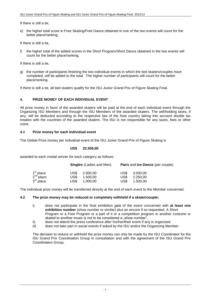If there is still a tie,

e) the higher total score in Free Skating/Free Dance obtained in one of the two events will count for the better place/ranking;

If there is still a tie,

f) the higher total of the added scores in the Short Program/Short Dance obtained in the two events will count for the better place/ranking;

If there is still a tie,

g) the number of participants finishing the two individual events in which the tied skaters/couples have completed, will be added to the total. The higher number of participants will count for the better place/ranking.

If there is still a tie, all tied skaters qualify for the ISU Junior Grand Prix of Figure Skating Final.

#### **4. PRIZE MONEY OF EACH INDIVIDUAL EVENT**

All prize money in favor of the awarded skaters will be paid at the end of each individual event through the Organizing ISU Members and through the ISU Members of the awarded skaters. The withholding taxes, if any, will be deducted according to the respective law of the host country taking into account double tax treaties with the countries of the awarded skaters. The ISU is not responsible for any taxes, fees or other costs.

#### **4.1 Prize money for each Individual event**

The Global Prize money per individual event of the ISU Junior Grand Prix of Figure Skating is

#### **US\$ 22.500,00**

awarded to each medal winner for each category as follows:

|                                                                         | <b>Singles</b> (Ladies and Men)      | Pairs and Ice Dance (per couple)     |
|-------------------------------------------------------------------------|--------------------------------------|--------------------------------------|
|                                                                         | US\$<br>2.000.00                     | US\$<br>3.000.00                     |
| 1 <sup>st</sup> place<br>2 <sup>nd</sup> place<br>3 <sup>rd</sup> place | US\$<br>1.500.00<br>US\$<br>1.000.00 | US\$<br>2.250.00<br>US\$<br>1.500.00 |

The individual prize money will be transferred directly at the end of each event to the Member concerned.

#### **4.2 The prize money may be reduced or completely withheld if a skater/couple:**

- i) does not participate in the final exhibition gala of the event concerned with **at least one exhibition number** (show number or similar) plus an encore if so requested. A Short Program or a Free Program or a part of it or a competition program in another costume or skated to another music is not to be considered a "show number".
- ii) does not attend the press conference after his/her/their event if any is organized.
- iii) does not take part in social events if asked by the ISU and/or the Organizing Member.

The decision to reduce or withhold the prize money can only be made by the ISU Coordinator for the ISU Grand Prix Coordination Group in consultation and with the agreement of the ISU Grand Prix Coordination Group.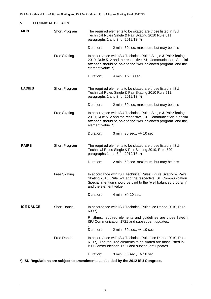| 5.<br><b>TECHNICAL DETAILS</b> |                     |                                                                                                                                                                                                                      |                                                                                                                                                                                                  |  |  |  |
|--------------------------------|---------------------|----------------------------------------------------------------------------------------------------------------------------------------------------------------------------------------------------------------------|--------------------------------------------------------------------------------------------------------------------------------------------------------------------------------------------------|--|--|--|
| <b>MEN</b>                     | Short Program       |                                                                                                                                                                                                                      | The required elements to be skated are those listed in ISU<br>Technical Rules Single & Pair Skating 2010 Rule 511,<br>paragraphs 1 and 3 for 2012/13. *)                                         |  |  |  |
|                                |                     | Duration:                                                                                                                                                                                                            | 2 min., 50 sec. maximum, but may be less                                                                                                                                                         |  |  |  |
|                                | <b>Free Skating</b> | element value. *)                                                                                                                                                                                                    | In accordance with ISU Technical Rules Single & Pair Skating<br>2010, Rule 512 and the respective ISU Communication. Special<br>attention should be paid to the "well balanced program" and the  |  |  |  |
|                                |                     | Duration:                                                                                                                                                                                                            | 4 min., +/- 10 sec.                                                                                                                                                                              |  |  |  |
| <b>LADIES</b>                  | Short Program       |                                                                                                                                                                                                                      | The required elements to be skated are those listed in ISU<br>Technical Rules Single & Pair Skating 2010 Rule 511,<br>paragraphs 1 and 3 for $2012/13$ . $\ast$ )                                |  |  |  |
|                                |                     | Duration:                                                                                                                                                                                                            | 2 min., 50 sec. maximum, but may be less                                                                                                                                                         |  |  |  |
|                                | <b>Free Skating</b> | In accordance with ISU Technical Rules Single & Pair Skating<br>2010, Rule 512 and the respective ISU Communication. Special<br>attention should be paid to the "well balanced program" and the<br>element value. *) |                                                                                                                                                                                                  |  |  |  |
|                                |                     | Duration:                                                                                                                                                                                                            | 3 min., 30 sec., +/- 10 sec.                                                                                                                                                                     |  |  |  |
| <b>PAIRS</b>                   | Short Program       | The required elements to be skated are those listed in ISU<br>Technical Rules Single & Pair Skating 2010, Rule 520,<br>paragraphs 1 and 3 for 2012/13. *)                                                            |                                                                                                                                                                                                  |  |  |  |
|                                |                     | Duration:                                                                                                                                                                                                            | 2 min., 50 sec. maximum, but may be less                                                                                                                                                         |  |  |  |
|                                | <b>Free Skating</b> | and the element value.                                                                                                                                                                                               | In accordance with ISU Technical Rules Figure Skating & Pairs<br>Skating 2010, Rule 521 and the respective ISU Communication.<br>Special attention should be paid to the "well balanced program" |  |  |  |
|                                |                     | Duration:                                                                                                                                                                                                            | 4 min., +/- 10 sec.                                                                                                                                                                              |  |  |  |
| <b>ICE DANCE</b>               | <b>Short Dance</b>  | $609 *$                                                                                                                                                                                                              | In accordance with ISU Technical Rules Ice Dance 2010, Rule                                                                                                                                      |  |  |  |
|                                |                     |                                                                                                                                                                                                                      | Rhythms, required elements and guidelines are those listed in<br>ISU Communication 1721 and subsequent updates.                                                                                  |  |  |  |
|                                |                     | Duration:                                                                                                                                                                                                            | 2 min., 50 sec., +/- 10 sec                                                                                                                                                                      |  |  |  |
|                                | Free Dance          |                                                                                                                                                                                                                      | In accordance with ISU Technical Rules Ice Dance 2010, Rule<br>610*). The required elements to be skated are those listed in<br>ISU Communication 1721 and subsequent updates.                   |  |  |  |
|                                |                     | Duration:                                                                                                                                                                                                            | 3 min., 30 sec., +/- 10 sec.                                                                                                                                                                     |  |  |  |
|                                |                     |                                                                                                                                                                                                                      |                                                                                                                                                                                                  |  |  |  |

**\*) ISU Regulations are subject to amendments as decided by the 2012 ISU Congress.**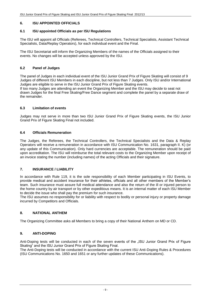#### **6. ISU APPOINTED OFFICIALS**

#### **6.1 ISU appointed Officials as per ISU Regulations**

The ISU will appoint all Officials (Referees, Technical Controllers, Technical Specialists, Assistant Technical Specialists, Data/Replay Operators), for each individual event and the Final.

The ISU Secretariat will inform the Organizing Members of the names of the Officials assigned to their events. No changes will be accepted unless approved by the ISU.

#### **6.2 Panel of Judges**

The panel of Judges in each individual event of the ISU Junior Grand Prix of Figure Skating will consist of 9 Judges of different ISU Members in each discipline, but not less than 7 Judges. Only ISU and/or International Judges are eligible to serve in the ISU Junior Grand Prix of Figure Skating events.

If too many Judges are attending an event the Organizing Member and the ISU may decide to seat not drawn Judges for the final Free Skating/Free Dance segment and complete the panel by a separate draw of the remainder.

#### **6.3 Limitation of events**

Judges may not serve in more than two ISU Junior Grand Prix of Figure Skating events, the ISU Junior Grand Prix of Figure Skating Final not included.

#### **6.4 Officials Remuneration**

The Judges, the Referees, the Technical Controllers, the Technical Specialists and the Data & Replay Operators will receive a remuneration in accordance with ISU Communication No. 1631, paragraph II. K) (or any update of this Communication). Only hard currencies are acceptable. The remuneration should be paid upon accreditation. The ISU will reimburse the total relevant costs to the Organizing Member upon receipt of an invoice stating the number (including names) of the acting Officials and their signature.

#### **7. INSURANCE / LIABILITY**

In accordance with Rule 119, it is the sole responsibility of each Member participating in ISU Events, to provide medical and accident insurance for their athletes, officials and all other members of the Member's team. Such insurance must assure full medical attendance and also the return of the ill or injured person to the home country by air transport or by other expeditious means. It is an internal matter of each ISU Member to decide the issue who shall pay the premium for such insurance.

The ISU assumes no responsibility for or liability with respect to bodily or personal injury or property damage incurred by Competitors and Officials.

#### **8. NATIONAL ANTHEM**

The Organizing Committee asks all Members to bring a copy of their National Anthem on MD or CD.

#### **9. ANTI-DOPING**

Anti-Doping tests will be conducted in each of the seven events of the "ISU Junior Grand Prix of Figure Skating" and the ISU Junior Grand Prix of Figure Skating Final.

The Anti-Doping tests will be conducted in accordance with the current ISU Anti-Doping Rules & Procedures (ISU Communications No. 1650 and 1651 or any further updates of these Communications).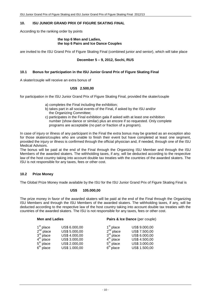#### **10. ISU JUNIOR GRAND PRIX OF FIGURE SKATING FINAL**

According to the ranking order by points

#### **the top 6 Men and Ladies, the top 6 Pairs and Ice Dance Couples**

are invited to the ISU Grand Prix of Figure Skating Final (combined junior and senior), which will take place

#### **December 5 – 9, 2012, Sochi, RUS**

#### **10.1 Bonus for participation in the ISU Junior Grand Prix of Figure Skating Final**

A skater/couple will receive an extra bonus of

#### **US\$ 2.500,00**

for participation in the ISU Junior Grand Prix of Figure Skating Final, provided the skater/couple

- a) completes the Final including the exhibition;
- b) takes part in all social events of the Final, if asked by the ISU and/or the Organizing Committee;
- c) participates in the Final exhibition gala if asked with at least one exhibition number (show dance or similar) plus an encore if so requested. Only complete programs are acceptable (no part or fraction of a program).

In case of injury or illness of any participant in the Final the extra bonus may be granted as an exception also for those skaters/couples who are unable to finish their event but have completed at least one segment, provided the injury or illness is confirmed through the official physician and, if needed, through one of the ISU Medical Advisors.

The bonus will be paid at the end of the Final through the Organizing ISU Member and through the ISU Members of the awarded skaters. The withholding taxes, if any, will be deducted according to the respective law of the host country taking into account double tax treaties with the countries of the awarded skaters. The ISU is not responsible for any taxes, fees or other cost.

#### **10.2 Prize Money**

The Global Prize Money made available by the ISU for the ISU Junior Grand Prix of Figure Skating Final is

#### **US\$ 105.000,00**

The prize money in favor of the awarded skaters will be paid at the end of the Final through the Organizing ISU Members and through the ISU Members of the awarded skaters. The withholding taxes, if any, will be deducted according to the respective law of the host country taking into account double tax treaties with the countries of the awarded skaters. The ISU is not responsible for any taxes, fees or other cost.

| <b>Men and Ladies</b>                                                                            |                                                                                                    |                                                                                                  | Pairs & Ice Dance (per couple)                                                                     |
|--------------------------------------------------------------------------------------------------|----------------------------------------------------------------------------------------------------|--------------------------------------------------------------------------------------------------|----------------------------------------------------------------------------------------------------|
| $1st$ place<br>2 <sup>nd</sup> place<br>$3rd$ place<br>$4th$ place<br>$5th$ place<br>$6th$ place | US\$ 6.000,00<br>US\$ 5.000,00<br>US\$ 4.000,00<br>US\$ 3.000,00<br>US\$ 2.000,00<br>US\$ 1.000,00 | 1 <sup>st</sup> place<br>$2nd$ place<br>$3rd$ place<br>$4th$ place<br>$5th$ place<br>$6th$ place | US\$ 9.000,00<br>US\$ 7.500,00<br>US\$ 6.000,00<br>US\$ 4.500,00<br>US\$ 3.000,00<br>US\$ 1.500,00 |
|                                                                                                  |                                                                                                    |                                                                                                  |                                                                                                    |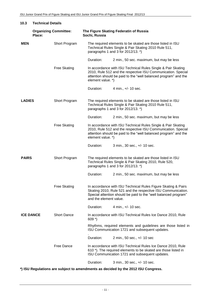| 10.3             | <b>Technical Details</b>               |                     |                        |                                                                                                                                                                                                  |  |
|------------------|----------------------------------------|---------------------|------------------------|--------------------------------------------------------------------------------------------------------------------------------------------------------------------------------------------------|--|
|                  | <b>Organizing Committee:</b><br>Place: |                     | Sochi, Russia          | The Figure Skating Federatin of Russia                                                                                                                                                           |  |
| <b>MEN</b>       |                                        | Short Program       |                        | The required elements to be skated are those listed in ISU<br>Technical Rules Single & Pair Skating 2010 Rule 511,<br>paragraphs 1 and 3 for 2012/13. *)                                         |  |
|                  |                                        |                     | Duration:              | 2 min., 50 sec. maximum, but may be less                                                                                                                                                         |  |
|                  |                                        | <b>Free Skating</b> | element value. *)      | In accordance with ISU Technical Rules Single & Pair Skating<br>2010, Rule 512 and the respective ISU Communication. Special<br>attention should be paid to the "well balanced program" and the  |  |
|                  |                                        |                     | Duration:              | 4 min., +/- 10 sec.                                                                                                                                                                              |  |
| <b>LADIES</b>    |                                        | Short Program       |                        | The required elements to be skated are those listed in ISU<br>Technical Rules Single & Pair Skating 2010 Rule 511,<br>paragraphs 1 and 3 for 2012/13. *)                                         |  |
|                  |                                        |                     | Duration:              | 2 min., 50 sec. maximum, but may be less                                                                                                                                                         |  |
|                  |                                        | <b>Free Skating</b> | element value. *)      | In accordance with ISU Technical Rules Single & Pair Skating<br>2010, Rule 512 and the respective ISU Communication. Special<br>attention should be paid to the "well balanced program" and the  |  |
|                  |                                        |                     | Duration:              | 3 min., 30 sec., +/- 10 sec.                                                                                                                                                                     |  |
| <b>PAIRS</b>     |                                        | Short Program       |                        | The required elements to be skated are those listed in ISU<br>Technical Rules Single & Pair Skating 2010, Rule 520,<br>paragraphs 1 and 3 for 2012/13. *)                                        |  |
|                  |                                        |                     | Duration:              | 2 min., 50 sec. maximum, but may be less                                                                                                                                                         |  |
|                  |                                        | <b>Free Skating</b> | and the element value. | In accordance with ISU Technical Rules Figure Skating & Pairs<br>Skating 2010, Rule 521 and the respective ISU Communication.<br>Special attention should be paid to the "well balanced program" |  |
|                  |                                        |                     | Duration:              | 4 min., +/- 10 sec.                                                                                                                                                                              |  |
| <b>ICE DANCE</b> |                                        | <b>Short Dance</b>  | $609 *$                | In accordance with ISU Technical Rules Ice Dance 2010, Rule                                                                                                                                      |  |
|                  |                                        |                     |                        | Rhythms, required elements and guidelines are those listed in<br>ISU Communication 1721 and subsequent updates.                                                                                  |  |
|                  |                                        |                     | Duration:              | 2 min., 50 sec., +/- 10 sec                                                                                                                                                                      |  |
|                  |                                        | Free Dance          |                        | In accordance with ISU Technical Rules Ice Dance 2010, Rule<br>610 *). The required elements to be skated are those listed in<br>ISU Communication 1721 and subsequent updates.                  |  |
|                  |                                        |                     | Duration:              | 3 min., 30 sec., +/- 10 sec.                                                                                                                                                                     |  |

**\*) ISU Regulations are subject to amendments as decided by the 2012 ISU Congress.**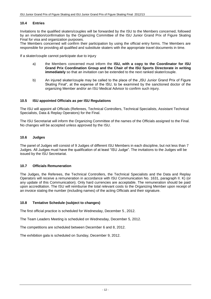#### **10.4 Entries**

Invitations to the qualified skaters/couples will be forwarded by the ISU to the Members concerned, followed by an invitation/confirmation by the Organizing Committee of the ISU Junior Grand Prix of Figure Skating Final for visa and organization purposes.

The Members concerned will confirm their participation by using the official entry forms. The Members are responsible for providing all qualified and substitute skaters with the appropriate travel documents in time.

If a skater/couple cannot participate due to injury

- a) the Members concerned must inform the **ISU, with a copy to the Coordinator for ISU Grand Prix Coordination Group and the Chair of the ISU Sports Directorate in writing immediately** so that an invitation can be extended to the next ranked skater/couple.
- b) An injured skater/couple may be called to the place of the "ISU Junior Grand Prix of Figure Skating Final", at the expense of the ISU, to be examined by the sanctioned doctor of the organizing Member and/or an ISU Medical Advisor to confirm such injury.

#### **10.5 ISU appointed Officials as per ISU Regulations**

The ISU will appoint all Officials (Referees, Technical Controllers, Technical Specialists, Assistant Technical Specialists, Data & Replay Operators) for the Final.

The ISU Secretariat will inform the Organizing Committee of the names of the Officials assigned to the Final. No changes will be accepted unless approved by the ISU.

#### **10.6 Judges**

The panel of Judges will consist of 9 Judges of different ISU Members in each discipline, but not less than 7 Judges. All Judges must have the qualification of at least "ISU Judge". The invitations to the Judges will be issued by the ISU Secretariat.

#### **10.7 Officials Remuneration**

The Judges, the Referees, the Technical Controllers, the Technical Specialists and the Data and Replay Operators will receive a remuneration in accordance with ISU Communication No. 1631, paragraph II. K) (or any update of this Communication). Only hard currencies are acceptable. The remuneration should be paid upon accreditation. The ISU will reimburse the total relevant costs to the Organizing Member upon receipt of an invoice stating the number (including names) of the acting Officials and their signature.

#### **10.8 Tentative Schedule (subject to changes)**

The first official practice is scheduled for Wednesday, December 5 , 2012.

The Team Leaders Meeting is scheduled on Wednesday, December 5, 2012.

The competitions are scheduled between December 6 and 8, 2012.

The exhibition gala is scheduled on Sunday, December 9, 2012.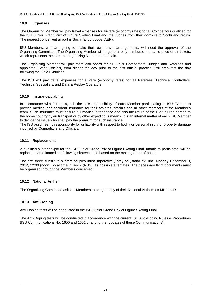#### **10.9 Expenses**

The Organizing Member will pay travel expenses for air-fare (economy rates) for all Competitors qualified for the ISU Junior Grand Prix of Figure Skating Final and the Judges from their domicile to Sochi and return. The nearest convenient airport is Sochi (airport code: AER).

ISU Members, who are going to make their own travel arrangements, will need the approval of the Organizing Committee. The Organizing Member will in general only reimburse the same price of air-tickets, which represents the rate, the Organizing Member can obtain.

The Organizing Member will pay room and board for all Junior Competitors, Judges and Referees and appointed Event Officials, from dinner the day prior to the first official practice until breakfast the day following the Gala Exhibition.

The ISU will pay travel expenses for air-fare (economy rates) for all Referees, Technical Controllers, Technical Specialists, and Data & Replay Operators.

#### **10.10 Insurance/Liability**

In accordance with Rule 119, it is the sole responsibility of each Member participating in ISU Events, to provide medical and accident insurance for their athletes, officials and all other members of the Member's team. Such insurance must assure full medical attendance and also the return of the ill or injured person to the home country by air transport or by other expeditious means. It is an internal matter of each ISU Member to decide the issue who shall pay the premium for such insurance.

The ISU assumes no responsibility for or liability with respect to bodily or personal injury or property damage incurred by Competitors and Officials.

#### **10.11 Replacements**

A qualified skater/couple for the ISU Junior Grand Prix of Figure Skating Final, unable to participate, will be replaced by the immediate following skater/couple based on the ranking order of points.

The first three substitute skaters/couples must imperatively stay on "stand-by" until Monday December 3, 2012, 12:00 (noon), local time in Sochi (RUS), as possible alternates. The necessary flight documents must be organized through the Members concerned.

#### **10.12 National Anthem**

The Organizing Committee asks all Members to bring a copy of their National Anthem on MD or CD.

#### **10.13 Anti-Doping**

Anti-Doping tests will be conducted in the ISU Junior Grand Prix of Figure Skating Final.

The Anti-Doping tests will be conducted in accordance with the current ISU Anti-Doping Rules & Procedures (ISU Communications No. 1650 and 1651 or any further updates of these Communications).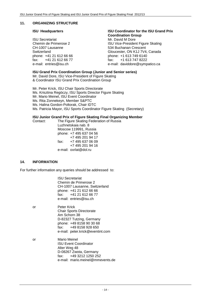#### **11. ORGANIZING STRUCTURE**

ISU Secretariat Mr. David M Dore<br>
Chemin de Primerose 2 (ISU Vice-Presider CH-1007 Lausanne 534 Buchanan Crescent fax:  $+41$  21 612 66 77 fax: fax:  $+41$  612 66 77 fax: fax:

#### **ISU Headquarters ISU Coordinator for the ISU Grand Prix Coordination Group**

ISU Vice-President Figure Skating Switzerland Gloucester, ON K1J 7V4, Canada phone: +1 613 749 6140<br>fax: +1 613 747 8222 e-mail: daviddore@sympatico.ca

#### **ISU Grand Prix Coordination Group (Junior and Senior series)**

Mr. David Dore, ISU Vice-President of Figure Skating & Coordinator ISU Grand Prix Coordination Group

Mr. Peter Krick, ISU Chair Sports Directorate Ms. Krisztina Regöczy, ISU Sports Director Figure Skating Mr. Mario Meinel, ISU Event Coordinator Ms. Rita Zonnekeyn, Member S&PTC Ms. Halina Gordon-Poltorak, Chair IDTC Ms. Patricia Mayor, ISU Sports Coordinator Figure Skating (Secretary)

#### **ISU Junior Grand Prix of Figure Skating Final Organizing Member**

Contact: The Figure Skating Federation of Russia Luzhnetskaia nab. 8 Moscow 119991, Russia phone: +7 495 637 04 56 +7 495 201 94 17 fax: +7 495 637 06 09 +7 495 201 94 16 e-mail: oxrlat@dol.ru

#### **14. INFORMATION**

For further information any queries should be addressed to:

ISU Secretariat Chemin de Primerose 2 CH-1007 Lausanne, Switzerland phone: +41 21 612 66 66 fax: +41 21 612 66 77 e-mail: entries@isu.ch

- or Peter Krick Chair Sports Directorate Am Schorn 38 D-82327 Tutzing, Germany phone: +49 8158 90 30 68 fax: +49 8158 928 650 e-mail: [peter.krick@eventint.com](mailto:peter.krick@eventint.com)
- or Mario Meinel ISU Event Coordinator Alter Weg 48 D-08267 Zwota, Germany fax: +49 3212 1250 252 e-mail: mario.meinel@mmevents.de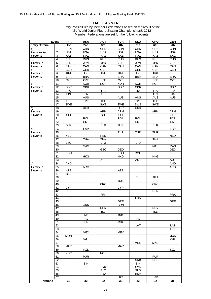#### **TABLE A - MEN**

|                       | Event           | <b>FRA</b> | <b>USA</b> | <b>AUT</b>      | <b>TUR</b>                        | <b>SLO</b> | <b>CRO</b> | <b>GER</b>        |
|-----------------------|-----------------|------------|------------|-----------------|-----------------------------------|------------|------------|-------------------|
| <b>Entry Criteria</b> |                 | 1st        | 2nd        | 3rd             | 4th                               | 5th        | 6th        | 7th               |
| a)                    | 1               | <b>CHN</b> | <b>CHN</b> | <b>CHN</b>      | <b>CHN</b>                        | <b>CHN</b> | <b>CHN</b> | <b>CHN</b>        |
| 2 entries in          | $\overline{2}$  | <b>USA</b> | <b>USA</b> | <b>USA</b>      | <b>USA</b>                        | <b>USA</b> | <b>USA</b> | <b>USA</b>        |
| 7 events              | 3               | KAZ        | KAZ        | KAZ             | KAZ                               | KAZ        | KAZ        | KAZ               |
| b)                    | $\overline{4}$  | <b>RUS</b> | RUS        | RUS             | <b>RUS</b>                        | <b>RUS</b> | <b>RUS</b> | <b>RUS</b>        |
| 1 entry in            | $\overline{5}$  | <b>JPN</b> | <b>JPN</b> | <b>JPN</b>      | <b>JPN</b>                        | <b>JPN</b> | <b>JPN</b> | <b>JPN</b>        |
| 7 events              | $\overline{6}$  | CAN        | CAN        | CAN             | CAN                               | CAN        | CAN        | CAN               |
|                       |                 |            |            |                 |                                   |            |            |                   |
| c)                    | $\overline{7}$  | <b>GER</b> | GER        | <b>GER</b>      |                                   | <b>GER</b> | <b>GER</b> | GER               |
| 1 entry in            | 8               | PHI        | PHI        | PHI             | PHI                               | PHI        | PHI        |                   |
| 6 events              | 9               | <b>BRA</b> | <b>BRA</b> |                 | <b>BRA</b>                        | <b>BRA</b> | <b>BRA</b> | <b>BRA</b>        |
|                       | 10              | <b>CZE</b> | <b>CZE</b> | CZE             | <b>CZE</b>                        |            | <b>CZE</b> | <b>CZE</b>        |
| d)                    | 11              |            | <b>KOR</b> | <b>KOR</b>      | <b>KOR</b>                        | <b>KOR</b> | <b>KOR</b> |                   |
| 1 entry in            | $\overline{12}$ | <b>GBR</b> | <b>GBR</b> |                 | <b>GBR</b>                        | <b>GBR</b> |            | <b>GBR</b>        |
| 5 events              | 13              | <b>ITA</b> |            | <b>ITA</b>      |                                   | <b>ITA</b> | <b>ITA</b> | <b>ITA</b>        |
|                       | 14              | FIN        | FIN        | FIN             |                                   |            | <b>FIN</b> | <b>FIN</b>        |
|                       | 15              |            | <b>AUS</b> |                 | <b>AUS</b>                        | <b>AUS</b> | <b>AUS</b> | <b>AUS</b>        |
|                       | 16              | <b>TPE</b> | <b>TPE</b> | <b>TPE</b>      |                                   | <b>TPE</b> | <b>TPE</b> |                   |
|                       | 17              | <b>SWE</b> |            | <b>SWE</b>      | <b>SWE</b>                        | SWE        | <b>SWE</b> |                   |
| e)                    | 18              | <b>UKR</b> | <b>UKR</b> |                 | <b>UKR</b>                        | <b>UKR</b> |            |                   |
| 1 entry in            | 19              |            |            | <b>ARM</b>      | ARM                               |            | <b>ARM</b> | <b>ARM</b>        |
| 4 events              | 20              | SUI        |            | <b>SUI</b>      | $\overline{\mathsf{S}\mathsf{U}}$ |            |            | SUI               |
|                       | 21              |            | POL        |                 | POL                               | <b>POL</b> |            | POL               |
|                       | $\overline{22}$ |            | <b>EST</b> | <b>EST</b>      |                                   | <b>EST</b> |            | <b>EST</b>        |
|                       | $\overline{23}$ | BLR        |            | BLR             | <b>BLR</b>                        |            | <b>BLR</b> |                   |
|                       | $\overline{24}$ | <b>ESP</b> | <b>ESP</b> |                 |                                   |            |            | <b>ESP</b>        |
| f)                    |                 |            |            |                 | <b>TUR</b>                        | <b>TUR</b> |            |                   |
| 1 entry in            | 25              |            |            |                 |                                   |            | TUR        |                   |
| 3 events              | 26              | <b>NED</b> |            | <b>NED</b>      |                                   |            |            | <b>NED</b>        |
|                       | 27              |            | <b>THA</b> | <b>THA</b>      |                                   |            | <b>THA</b> |                   |
|                       | 28              | LTU        |            | LTU             |                                   | LTU        |            |                   |
|                       | 29              |            | <b>MAS</b> |                 |                                   |            | <b>MAS</b> | MAS               |
|                       | $\overline{30}$ |            |            | GEO             | GEO                               |            |            | GEO               |
|                       | 31              | ROU        |            |                 | <b>ROU</b>                        | ROU        |            |                   |
|                       | $\overline{32}$ |            | <b>HKG</b> |                 | <b>HKG</b>                        |            | <b>HKG</b> |                   |
|                       | 33              |            |            | <b>AUT</b>      |                                   | <b>AUT</b> |            | <b>AUT</b>        |
| g)                    | 34              | <b>AND</b> |            |                 |                                   |            |            | AND               |
| 1 entry in            | 35              |            | ARG        |                 |                                   |            |            | ARG               |
| 2 events              | 36              | <b>AZE</b> |            |                 | AZE                               |            |            |                   |
|                       | $\overline{37}$ | <b>BEL</b> |            | <b>BEL</b>      |                                   |            |            |                   |
|                       | 38              |            |            |                 |                                   | <b>BIH</b> | <b>BIH</b> |                   |
|                       | 39              |            |            |                 | <b>BUL</b>                        |            | <b>BUL</b> |                   |
|                       | 40              |            |            | CRO             |                                   |            | CRO        |                   |
|                       | 41              | <b>CYP</b> |            |                 | <b>CYP</b>                        |            |            |                   |
|                       | $\overline{42}$ | <b>DEN</b> |            |                 |                                   |            | <b>DEN</b> |                   |
|                       | 43              |            |            | <b>PRK</b>      |                                   |            |            | <b>PRK</b>        |
|                       | 44              | <b>FRA</b> |            |                 |                                   | <b>FRA</b> |            |                   |
|                       | 45              |            |            |                 | <b>GRE</b>                        |            |            | GRE               |
|                       | 46              |            | <b>GRN</b> |                 | <b>GRN</b>                        |            |            |                   |
|                       | $\overline{47}$ |            |            | <b>HUN</b>      |                                   |            | <b>HUN</b> |                   |
|                       | 48              |            |            | ISL             |                                   |            | <b>ISL</b> |                   |
|                       | 49              |            | IND        |                 | <b>IND</b>                        |            |            |                   |
|                       | 50              |            | <b>IRL</b> |                 |                                   | <b>IRL</b> |            |                   |
|                       | 51              |            | <b>ISR</b> |                 | ISR.                              |            |            |                   |
|                       |                 |            |            |                 |                                   | LAT        |            |                   |
|                       | 52              | <b>LUX</b> |            |                 |                                   |            |            | LAT<br><b>LUX</b> |
|                       | 53              |            |            |                 |                                   |            |            |                   |
|                       | 54              |            | <b>MEX</b> |                 | <b>MEX</b>                        |            |            |                   |
|                       | 55              | <b>MON</b> |            |                 |                                   |            |            | <b>MON</b>        |
|                       | 56              |            | <b>MGL</b> |                 |                                   |            |            | <b>MGL</b>        |
|                       | 57              |            |            |                 |                                   | <b>MNE</b> | <b>MNE</b> |                   |
|                       | 58              | <b>MAR</b> |            |                 | <b>MAR</b>                        |            |            |                   |
|                       | 59              |            | <b>NZL</b> |                 |                                   |            |            | <b>NZL</b>        |
|                       | 60              | <b>NOR</b> |            | <b>NOR</b>      |                                   |            |            |                   |
|                       | 61              |            | <b>PUR</b> |                 |                                   |            | <b>PUR</b> |                   |
|                       | 62              |            |            |                 |                                   | <b>SRB</b> | <b>SRB</b> |                   |
|                       | 63              |            | SIN        |                 |                                   | SIN        |            |                   |
|                       | 64              |            |            | <b>SVK</b>      |                                   | <b>SVK</b> |            |                   |
|                       | 65              |            |            | <b>SLO</b>      |                                   | <b>SLO</b> |            |                   |
|                       | 66              |            |            | <b>RSA</b>      |                                   | <b>RSA</b> |            |                   |
|                       | 67              |            |            |                 | UZB                               |            | <b>UZB</b> |                   |
| <b>Nations</b>        |                 | 32         | 32         | $\overline{32}$ | 32                                | 32         | 32         | 31                |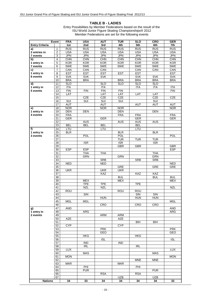#### **TABLE B - LADIES**

|                       | Event           | <b>FRA</b>              | <b>USA</b>              | <b>AUT</b>              | <b>TUR</b>              | <b>SLO</b> | <b>CRO</b> | <b>GER</b> |
|-----------------------|-----------------|-------------------------|-------------------------|-------------------------|-------------------------|------------|------------|------------|
| <b>Entry Criteria</b> |                 | 1st                     | 2nd                     | 3rd                     | 4th                     | 5th        | 6th        | 7th        |
| a)                    | 1               | RUS                     | <b>RUS</b>              | <b>RUS</b>              | <b>RUS</b>              | <b>RUS</b> | <b>RUS</b> | <b>RUS</b> |
| 2 entries in          | 2               | <b>USA</b>              | <b>USA</b>              | <b>USA</b>              | <b>USA</b>              | <b>USA</b> | <b>USA</b> | <b>USA</b> |
| 7 events              | 3               | <b>JPN</b>              | <b>JPN</b>              | <b>JPN</b>              | <b>JPN</b>              | <b>JPN</b> | <b>JPN</b> | <b>JPN</b> |
| b)                    | $\overline{4}$  | <b>CHN</b>              | <b>CHN</b>              | <b>CHN</b>              | <b>CHN</b>              | <b>CHN</b> | <b>CHN</b> | <b>CHN</b> |
| 1 entry in            | 5               | <b>KOR</b>              | <b>KOR</b>              | <b>KOR</b>              | <b>KOR</b>              | <b>KOR</b> | <b>KOR</b> | <b>KOR</b> |
| 7 events              | 6               | <b>SWE</b>              | <b>SWE</b>              | <b>SWE</b>              | <b>SWE</b>              | <b>SWE</b> | <b>SWE</b> | <b>SWE</b> |
|                       |                 |                         |                         |                         |                         |            |            |            |
| c)                    | $\overline{7}$  | CAN                     | CAN                     | CAN                     |                         | CAN        | CAN        | CAN        |
| 1 entry in            | 8               | <b>EST</b>              | <b>EST</b>              | <b>EST</b>              | <b>EST</b>              | <b>EST</b> |            | <b>EST</b> |
| 6 events              | 9               | <b>SVK</b>              | <b>SVK</b>              | <b>SVK</b>              |                         | <b>SVK</b> | <b>SVK</b> | <b>SVK</b> |
|                       | 10              | <b>BRA</b>              | <b>BRA</b>              |                         | <b>BRA</b>              | <b>BRA</b> | <b>BRA</b> | <b>BRA</b> |
| d)                    | 11              | $\overline{\text{SLO}}$ |                         | <b>SLO</b>              | SLO                     | <b>SLO</b> | SLO        |            |
| 1 entry in            | $\overline{12}$ | <b>ITA</b>              |                         | <b>ITA</b>              |                         | <b>ITA</b> | <b>ITA</b> | <b>ITA</b> |
| 5 events              | 13              | FIN                     | <b>FIN</b>              | FIN                     | <b>FIN</b>              |            |            | FIN        |
|                       | 14              | LAT                     |                         | LAT                     | LAT                     | LAT        | LAT        |            |
|                       | 15              |                         | <b>CZE</b>              | <b>CZE</b>              | <b>CZE</b>              |            | <b>CZE</b> | <b>CZE</b> |
|                       | 16              | SUI                     | $\overline{\text{SUI}}$ | $\overline{\text{SUI}}$ | $\overline{\text{SUI}}$ |            | SUI        |            |
|                       | 17              | AUT                     |                         | <b>AUT</b>              |                         | <b>AUT</b> | <b>AUT</b> | AUT        |
|                       | 18              | <b>NOR</b>              |                         | <b>NOR</b>              | <b>NOR</b>              |            |            | <b>NOR</b> |
| e)                    |                 | <b>DEN</b>              |                         |                         |                         |            | <b>DEN</b> |            |
| 1 entry in            | 19              |                         | <b>DEN</b>              |                         | <b>DEN</b>              |            |            |            |
| 4 events              | 20              | <b>FRA</b>              |                         |                         | <b>FRA</b>              | <b>FRA</b> |            | <b>FRA</b> |
|                       | 21              | <b>GER</b>              |                         | <b>GER</b>              |                         | <b>GER</b> |            | <b>GER</b> |
|                       | 22              |                         | AUS                     |                         | <b>AUS</b>              | <b>AUS</b> | AUS        |            |
|                       | $\overline{23}$ | <b>BEL</b>              | <b>BEL</b>              | <b>BEL</b>              |                         | <b>BEL</b> |            |            |
| f)                    | 24              | LTU                     |                         | LTU                     |                         | LTU        |            |            |
| 1 entry in            | 25              | <b>BLR</b>              |                         |                         | <b>BLR</b>              |            | <b>BLR</b> |            |
| 3 events              | 26              |                         | POL                     |                         | POL                     |            |            | POL        |
|                       | 27              |                         |                         |                         | <b>TUR</b>              | <b>TUR</b> | <b>TUR</b> |            |
|                       | 28              |                         | <b>ISR</b>              |                         | <b>ISR</b>              |            | <b>ISR</b> |            |
|                       | 29              |                         |                         |                         | <b>GBR</b>              | <b>GBR</b> |            | <b>GBR</b> |
|                       | 30              | <b>ESP</b>              | <b>ESP</b>              |                         |                         |            |            | <b>ESP</b> |
|                       | 31              |                         | <b>THA</b>              | <b>THA</b>              |                         |            | <b>THA</b> |            |
|                       | $\overline{32}$ |                         | <b>GRN</b>              |                         | <b>GRN</b>              |            | <b>GRN</b> |            |
|                       | 33              |                         |                         | <b>SRB</b>              |                         | <b>SRB</b> | <b>SRB</b> |            |
|                       | 34              | <b>NED</b>              |                         | <b>NED</b>              |                         |            |            | <b>NED</b> |
|                       | $\overline{35}$ |                         |                         |                         | <b>GRE</b>              |            | <b>GRE</b> | <b>GRE</b> |
|                       |                 |                         |                         |                         |                         |            |            |            |
|                       | 36              | <b>UKR</b>              |                         | <b>UKR</b>              | <b>UKR</b>              |            |            |            |
|                       | $\overline{37}$ |                         |                         | KAZ                     |                         | KAZ        | <b>KAZ</b> |            |
|                       | 38              |                         |                         |                         | <b>BUL</b>              |            | <b>BUL</b> | <b>BUL</b> |
|                       | $\overline{39}$ |                         | <b>MEX</b>              |                         | <b>MEX</b>              |            |            | <b>MEX</b> |
|                       | 40              |                         | <b>TPE</b>              | <b>TPE</b>              |                         | <b>TPE</b> |            |            |
|                       | 41              |                         | <b>NZL</b>              | <b>NZL</b>              |                         |            |            | <b>NZL</b> |
|                       | 42              | ROU                     |                         |                         | <b>ROU</b>              | <b>ROU</b> |            |            |
|                       | 43              |                         | SIN                     |                         |                         | SIN        | SIN        |            |
|                       | $\overline{44}$ |                         |                         | <b>HUN</b>              |                         | <b>HUN</b> | <b>HUN</b> |            |
|                       | 45              | <b>MGL</b>              | <b>MGL</b>              |                         |                         |            |            | <b>MGL</b> |
|                       | 46              |                         |                         | CRO                     |                         | <b>CRO</b> | CRO        |            |
| g)                    | 47              | AND                     |                         |                         |                         |            |            | AND        |
| 1 entry in            | 48              |                         | <b>ARG</b>              |                         |                         |            |            | <b>ARG</b> |
| 2 events              | 49              |                         |                         | ARM                     | ARM                     |            |            |            |
|                       | 50              | <b>AZE</b>              |                         |                         | <b>AZE</b>              |            |            |            |
|                       | 51              |                         |                         |                         |                         | <b>BIH</b> | BIH        |            |
|                       | 52              | <b>CYP</b>              |                         |                         | <b>CYP</b>              |            |            |            |
|                       | 53              |                         |                         | <b>PRK</b>              |                         |            |            | <b>PRK</b> |
|                       | $\overline{54}$ |                         |                         | GEO                     |                         |            |            | GEO        |
|                       | $\overline{55}$ |                         | <b>HKG</b>              |                         |                         | HKG        |            |            |
|                       |                 |                         |                         |                         |                         |            |            |            |
|                       | 56              |                         |                         | <b>ISL</b>              |                         |            |            | <b>ISL</b> |
|                       | 57              |                         | <b>IND</b>              |                         | <b>IND</b>              |            |            |            |
|                       | 58              |                         | <b>IRL</b>              |                         |                         | <b>IRL</b> |            |            |
|                       | 59              | <b>LUX</b>              |                         |                         |                         |            |            | <b>LUX</b> |
|                       | 60              |                         | <b>MAS</b>              |                         |                         |            | <b>MAS</b> |            |
|                       | 61              | <b>MON</b>              |                         |                         |                         |            |            | <b>MON</b> |
|                       | 62              |                         |                         |                         |                         | <b>MNE</b> | <b>MNE</b> |            |
|                       | 63              | <b>MAR</b>              |                         |                         | <b>MAR</b>              |            |            |            |
|                       | 64              |                         | PHI                     |                         |                         | PHI        |            |            |
|                       | 65              |                         | <b>PUR</b>              |                         |                         |            | <b>PUR</b> |            |
|                       | 66              |                         |                         | <b>RSA</b>              |                         | <b>RSA</b> |            |            |
|                       | 67              |                         |                         |                         | <b>UZB</b>              |            | <b>UZB</b> |            |
| <b>Nations</b>        |                 | 34                      | 33                      | 34                      | 34                      | 34         | 34         | 33         |
|                       |                 |                         |                         |                         |                         |            |            |            |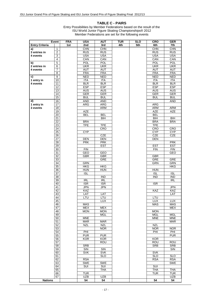#### **TABLE C - PAIRS**

|                       | Event                   | <b>FRA</b> | <b>USA</b>              | <b>AUT</b> | <b>TUR</b> | <b>SLO</b> | CRO              | <b>GER</b>              |
|-----------------------|-------------------------|------------|-------------------------|------------|------------|------------|------------------|-------------------------|
| <b>Entry Criteria</b> |                         | 1st        | 2nd                     | 3rd        | 4th        | 5th        | 6th              | 7th                     |
| a)                    | 1                       |            | <b>CHN</b>              | <b>CHN</b> |            |            | <b>CHN</b>       | <b>CHN</b>              |
| 3 entries in          | $\overline{2}$          |            | <b>RUS</b>              | RUS        |            |            | RUS              | <b>RUS</b>              |
| 4 events              | 3                       |            | <b>USA</b>              | <b>USA</b> |            |            | <b>USA</b>       | USA                     |
|                       | $\overline{4}$          |            | CAN                     | CAN        |            |            | CAN              | CAN                     |
|                       |                         |            |                         |            |            |            |                  |                         |
| b)                    | 5                       |            | <b>POL</b>              | POL        |            |            | <b>POL</b>       | <b>POL</b>              |
| 2 entries in          | 6                       |            | <b>UKR</b>              | <b>UKR</b> |            |            | <b>UKR</b>       | <b>UKR</b>              |
| 4 events              | $\overline{7}$          |            | <b>AUT</b>              | AUT        |            |            | AUT              | AUT                     |
|                       | $\overline{\mathbf{8}}$ |            | <b>FRA</b>              | <b>FRA</b> |            |            | <b>FRA</b>       | <b>FRA</b>              |
| C)                    | 9                       |            | <b>NED</b>              | <b>NED</b> |            |            | <b>NED</b>       | <b>NED</b>              |
| 1 entry in            | 10                      |            | ITA                     | ITA        |            |            | <b>ITA</b>       | <b>ITA</b>              |
| 4 events              | 11                      |            | <b>BLR</b>              | <b>BLR</b> |            |            | <b>BLR</b>       | <b>BLR</b>              |
|                       | 12                      |            | <b>ESP</b>              | ESP        |            |            | <b>ESP</b>       | <b>ESP</b>              |
|                       |                         |            |                         |            |            |            |                  |                         |
|                       | 13                      |            | AUS                     | AUS        |            |            | AUS              | AUS                     |
|                       | 14                      |            | GER                     | GER        |            |            | GER              | GER                     |
|                       | 15                      |            | <b>BUL</b>              | <b>BUL</b> |            |            | <b>BUL</b>       | <b>BUL</b>              |
| d)                    | 16                      |            | AND                     | AND        |            |            |                  | <b>AND</b>              |
| 1 entry in            | 17                      |            | ARG                     | ARG        |            |            | ARG              |                         |
| 3 events              | 18                      |            |                         | ARM        |            |            | ARM              | ARM                     |
|                       | 19                      |            | AZE                     |            |            |            | AZE              | <b>AZE</b>              |
|                       |                         |            |                         |            |            |            |                  |                         |
|                       | 20                      |            | <b>BEL</b>              | <b>BEL</b> |            |            | <b>BEL</b>       |                         |
|                       | $\overline{21}$         |            |                         | BIH        |            |            | BIH              | BIH                     |
|                       | $\overline{22}$         |            | <b>BRA</b>              |            |            |            | <b>BRA</b>       | <b>BRA</b>              |
|                       | 23                      |            | <b>TPE</b>              | <b>TPE</b> |            |            | <b>TPE</b>       |                         |
|                       | 24                      |            |                         | CRO        |            |            | <b>CRO</b>       | <b>CRO</b>              |
|                       | 25                      |            | <b>CYP</b>              |            |            |            | <b>CYP</b>       | <b>CYP</b>              |
|                       | $\overline{26}$         |            |                         | <b>CZE</b> |            |            | <b>CZE</b>       | <b>CZE</b>              |
|                       | 27                      |            | <b>DEN</b>              | DEN        |            |            | <b>DEN</b>       |                         |
|                       | 28                      |            | <b>PRK</b>              | <b>PRK</b> |            |            |                  | <b>PRK</b>              |
|                       |                         |            |                         |            |            |            |                  |                         |
|                       | 29                      |            |                         | <b>EST</b> |            |            | <b>EST</b>       | <b>EST</b>              |
|                       | 30                      |            | <b>FIN</b>              |            |            |            | <b>FIN</b>       | <b>FIN</b>              |
|                       | $\overline{31}$         |            | GEO                     | GEO        |            |            |                  | GEO                     |
|                       | $\overline{32}$         |            | GBR                     | GBR        |            |            | GBR              |                         |
|                       | 33                      |            |                         | GRE        |            |            | GRE              | <b>GRE</b>              |
|                       | $\overline{34}$         |            | <b>GRN</b>              |            |            |            | GRN              | <b>GRN</b>              |
|                       | 35                      |            | <b>HKG</b>              | HKG        |            |            |                  | <b>HKG</b>              |
|                       | 36                      |            | <b>HUN</b>              | <b>HUN</b> |            |            | <b>HUN</b>       |                         |
|                       | $\overline{37}$         |            | $\overline{\text{ISL}}$ |            |            |            | $\overline{ISL}$ | $\overline{\text{ISL}}$ |
|                       |                         |            |                         | <b>IND</b> |            |            | <b>IND</b>       |                         |
|                       | 38                      |            |                         |            |            |            |                  | <b>IND</b>              |
|                       | 39                      |            | <b>IRL</b>              | <b>IRL</b> |            |            |                  | <b>IRL</b>              |
|                       | 40                      |            | <b>ISR</b>              | <b>ISR</b> |            |            | <b>ISR</b>       |                         |
|                       | 41                      |            | <b>JPN</b>              | JPN        |            |            |                  | <b>JPN</b>              |
|                       | 42                      |            | KAZ                     |            |            |            | KAZ              | KAZ                     |
|                       | 43                      |            | LAT                     | LAT        |            |            |                  | LAT                     |
|                       | 44                      |            | LTU                     | LTU        |            |            | LTU              |                         |
|                       | 45                      |            |                         | LUX        |            |            | <b>LUX</b>       | LUX                     |
|                       | 46                      |            | <b>MAS</b>              |            |            |            | <b>MAS</b>       | MAS                     |
|                       | 47                      |            | <b>MEX</b>              | <b>MEX</b> |            |            |                  | <b>MEX</b>              |
|                       |                         |            | <b>MON</b>              | <b>MON</b> |            |            |                  |                         |
|                       | 48                      |            |                         |            |            |            | <b>MON</b>       |                         |
|                       | 49                      |            |                         | <b>MGL</b> |            |            | <b>MGL</b>       | <b>MGL</b>              |
|                       | 50                      |            | <b>MNE</b>              |            |            |            | <b>MNE</b>       | <b>MNE</b>              |
|                       | 51                      |            | <b>MAR</b>              | <b>MAR</b> |            |            |                  | <b>MAR</b>              |
|                       | 52                      |            | <b>NZL</b>              | <b>NZL</b> |            |            | <b>NZL</b>       |                         |
|                       | 53                      |            |                         | <b>NOR</b> |            |            | <b>NOR</b>       | <b>NOR</b>              |
|                       | 54                      |            | PHI                     |            |            |            | PHI              | PHI                     |
|                       | 55                      |            | <b>PUR</b>              | <b>PUR</b> |            |            |                  | <b>PUR</b>              |
|                       | 56                      |            | <b>KOR</b>              | <b>KOR</b> |            |            | <b>KOR</b>       |                         |
|                       |                         |            |                         |            |            |            |                  |                         |
|                       | 57                      |            |                         | <b>ROU</b> |            |            | <b>ROU</b>       | ROU                     |
|                       | 58                      |            | <b>SRB</b>              |            |            |            | <b>SRB</b>       | SRB                     |
|                       | 59                      |            | SIN                     | SIN        |            |            |                  | SIN                     |
|                       | 60                      |            | <b>SVK</b>              | <b>SVK</b> |            |            | <b>SVK</b>       |                         |
|                       | 61                      |            |                         | <b>SLO</b> |            |            | <b>SLO</b>       | <b>SLO</b>              |
|                       | 62                      |            | <b>RSA</b>              |            |            |            | <b>RSA</b>       | <b>RSA</b>              |
|                       | 63                      |            | <b>SWE</b>              | <b>SWE</b> |            |            |                  | <b>SWE</b>              |
|                       |                         |            |                         |            |            |            |                  |                         |
|                       | 64                      |            | <b>SUI</b>              | SUI        |            |            | SUI              |                         |
|                       | 65                      |            |                         | <b>THA</b> |            |            | <b>THA</b>       | THA                     |
|                       | 66                      |            | <b>TUR</b>              |            |            |            | <b>TUR</b>       | <b>TUR</b>              |
|                       | 67                      |            | UZB                     | <b>UZB</b> |            |            |                  | <b>UZB</b>              |
| <b>Nations</b>        |                         |            | 54                      | 54         |            |            | 54               | 54                      |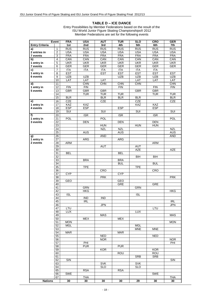#### **TABLE D – ICE DANCE**

|                       | Event           | <b>FRA</b>              | <b>USA</b>       | <b>AUT</b>              | <b>TUR</b> | <b>SLO</b>              | <b>CRO</b>      | <b>GER</b> |
|-----------------------|-----------------|-------------------------|------------------|-------------------------|------------|-------------------------|-----------------|------------|
| <b>Entry Criteria</b> |                 | 1st                     | 2nd              | 3rd                     | 4th        | 5th                     | 6th             | 7th        |
| a)                    | 1               | <b>RUS</b>              | <b>RUS</b>       | <b>RUS</b>              | <b>RUS</b> | <b>RUS</b>              | <b>RUS</b>      | <b>RUS</b> |
| 2 entries in          | $\overline{2}$  | <b>USA</b>              | <b>USA</b>       | <b>USA</b>              | <b>USA</b> | <b>USA</b>              | <b>USA</b>      | <b>USA</b> |
| 7 events              | 3               | <b>FRA</b>              | <b>FRA</b>       | <b>FRA</b>              | <b>FRA</b> | <b>FRA</b>              | <b>FRA</b>      | <b>FRA</b> |
| b)                    | $\overline{4}$  | CAN                     | CAN              | CAN                     | CAN        | CAN                     | CAN             | CAN        |
| 1 entry in            | $\overline{5}$  | <b>UKR</b>              | <b>UKR</b>       | <b>UKR</b>              | <b>UKR</b> | <b>UKR</b>              | <b>UKR</b>      | <b>UKR</b> |
| 7 events              |                 |                         |                  |                         |            |                         |                 | <b>GER</b> |
|                       | $\overline{6}$  | GER                     | <b>GER</b>       | <b>GER</b>              | <b>GER</b> | <b>GER</b>              | <b>GER</b>      |            |
| c)                    | $\overline{7}$  | <b>ITA</b>              | <b>ITA</b>       | ITA                     | <b>ITA</b> | <b>ITA</b>              | <b>ITA</b>      |            |
| 1 entry in            | 8               | <b>EST</b>              |                  | <b>EST</b>              | <b>EST</b> | <b>EST</b>              | <b>EST</b>      | <b>EST</b> |
| 6 events              | 9               | <b>UZB</b>              | <b>UZB</b>       |                         | <b>UZB</b> | <b>UZB</b>              | <b>UZB</b>      | UZB        |
|                       | 10              | LAT                     | <b>LAT</b>       | LAT                     |            | LAT                     | LAT             | LAT        |
| d)                    | 11              |                         | CHN              | <b>CHN</b>              | CHN        | <b>CHN</b>              |                 | CHN        |
| 1 entry in            | $\overline{12}$ | FIN                     | FIN              |                         | FIN        |                         | FIN             | <b>FIN</b> |
| 5 events              | 13              | <b>GBR</b>              | <b>GBR</b>       | <b>GBR</b>              |            | <b>GBR</b>              | <b>GBR</b>      |            |
|                       |                 |                         |                  |                         |            |                         |                 |            |
|                       | 14              |                         | <b>TUR</b>       | <b>TUR</b>              | <b>TUR</b> |                         | <b>TUR</b>      | <b>TUR</b> |
|                       | 15              | BLR                     |                  | BLR                     | BLR        | BLR                     |                 | BLR        |
| e)                    | 16              | <b>CZE</b>              |                  | <b>CZE</b>              |            | <b>CZE</b>              |                 | <b>CZE</b> |
| 1 entry in            | 17              | KAZ                     | KAZ              |                         |            | KAZ                     | KAZ             |            |
| 4 events              | 18              | <b>ESP</b>              | <b>ESP</b>       |                         | <b>ESP</b> |                         | <b>ESP</b>      |            |
|                       | 19              | $\overline{\text{SUI}}$ |                  | <b>SUI</b>              |            | $\overline{\text{SUI}}$ |                 | SUI        |
| f)                    | 20              |                         | <b>ISR</b>       |                         | <b>ISR</b> |                         | <b>ISR</b>      |            |
| 1 entry in            | 21              | POL                     |                  | POL                     |            |                         |                 | <b>POL</b> |
|                       |                 |                         |                  |                         |            |                         |                 |            |
| 3 events              | $\overline{22}$ |                         | <b>DEN</b>       |                         | <b>DEN</b> |                         | <b>DEN</b>      |            |
|                       | 23              |                         |                  | <b>HUN</b>              |            | <b>HUN</b>              | <b>HUN</b>      |            |
|                       | $\overline{24}$ |                         |                  | <b>NZL</b>              | <b>NZL</b> |                         |                 | <b>NZL</b> |
|                       | $\overline{25}$ |                         | <b>AUS</b>       |                         | <b>AUS</b> |                         |                 | <b>AUS</b> |
| g)                    | 26              |                         |                  | <b>AND</b>              |            |                         |                 | AND        |
| 1 entry in            | $\overline{27}$ |                         | <b>ARG</b>       |                         | <b>ARG</b> |                         |                 |            |
| 2 events              | 28              | <b>ARM</b>              |                  |                         |            |                         | ARM             |            |
|                       | $\overline{29}$ |                         |                  | <b>AUT</b>              |            | <b>AUT</b>              |                 |            |
|                       |                 |                         |                  |                         |            |                         |                 |            |
|                       | $\overline{30}$ |                         |                  |                         |            | <b>AZE</b>              |                 | <b>AZE</b> |
|                       | 31              | <b>BEL</b>              |                  |                         | <b>BEL</b> |                         |                 |            |
|                       | $\overline{32}$ |                         |                  |                         |            | $\overline{BH}$         | B <sub>II</sub> |            |
|                       | 33              |                         | <b>BRA</b>       |                         | <b>BRA</b> |                         |                 |            |
|                       | 34              |                         |                  |                         | <b>BUL</b> |                         | <b>BUL</b>      |            |
|                       | $\overline{35}$ |                         | <b>TPE</b>       |                         |            | <b>TPE</b>              |                 |            |
|                       | 36              |                         |                  | CRO                     |            |                         | CRO             |            |
|                       | $\overline{37}$ | <b>CYP</b>              |                  |                         | <b>CYP</b> |                         |                 |            |
|                       | 38              |                         |                  | <b>PRK</b>              |            |                         |                 | <b>PRK</b> |
|                       | 39              | GEO                     |                  |                         | GEO        |                         |                 |            |
|                       |                 |                         |                  |                         |            |                         |                 |            |
|                       | 40              |                         |                  |                         | GRE        |                         | <b>GRE</b>      |            |
|                       | 41              |                         | <b>GRN</b>       |                         |            | GRN                     |                 |            |
|                       | 42              |                         | <b>HKG</b>       |                         |            |                         |                 | <b>HKG</b> |
|                       | 43              | $\overline{\text{ISL}}$ |                  |                         |            | $\overline{\text{ISL}}$ |                 |            |
|                       | 44              |                         | $\overline{IND}$ | $\overline{\text{IND}}$ |            |                         |                 |            |
|                       | 45              |                         | <b>IRL</b>       |                         |            |                         |                 | <b>IRL</b> |
|                       | 46              |                         |                  | <b>JPN</b>              |            |                         |                 | <b>JPN</b> |
|                       | $\overline{47}$ | LTU                     |                  |                         |            |                         | LTU             |            |
|                       | 48              | <b>LUX</b>              |                  |                         |            | <b>LUX</b>              |                 |            |
|                       | 49              |                         |                  | MAS                     |            |                         |                 | <b>MAS</b> |
|                       | 50              |                         | <b>MEX</b>       |                         | <b>MEX</b> |                         |                 |            |
|                       |                 |                         |                  |                         |            |                         |                 |            |
|                       | 51              | <b>MON</b>              |                  |                         |            |                         |                 | <b>MON</b> |
|                       | 52              | <b>MGL</b>              |                  |                         |            | MGL                     |                 |            |
|                       | 53              |                         |                  |                         |            | <b>MNE</b>              | <b>MNE</b>      |            |
|                       | 54              | <b>MAR</b>              |                  |                         | <b>MAR</b> |                         |                 |            |
|                       | 55              |                         |                  | <b>NED</b>              |            |                         | <b>NED</b>      |            |
|                       | 56              |                         |                  | <b>NOR</b>              |            |                         |                 | <b>NOR</b> |
|                       | 57              |                         | PHI              |                         |            |                         |                 | PHI        |
|                       | 58              |                         | <b>PUR</b>       |                         | <b>PUR</b> |                         |                 |            |
|                       | 59              |                         |                  | <b>KOR</b>              |            |                         | <b>KOR</b>      |            |
|                       | 60              |                         |                  |                         | ROU        |                         | <b>ROU</b>      |            |
|                       | 61              |                         |                  |                         |            | <b>SRB</b>              | <b>SRB</b>      |            |
|                       |                 |                         |                  |                         |            |                         |                 |            |
|                       | 62              | SIN                     |                  |                         |            |                         |                 | SIN        |
|                       | 63              |                         |                  | <b>SVK</b>              |            | <b>SVK</b>              |                 |            |
|                       | 64              |                         |                  | <b>SLO</b>              |            | <b>SLO</b>              |                 |            |
|                       | 65              |                         | <b>RSA</b>       |                         | <b>RSA</b> |                         |                 |            |
|                       | 66              | <b>SWE</b>              |                  |                         |            |                         | <b>SWE</b>      |            |
|                       | 67              |                         | <b>THA</b>       |                         |            |                         |                 | THA        |
| <b>Nations</b>        |                 | 30                      | 30               | 30                      | 30         | 29                      | 30              | 30         |
|                       |                 |                         |                  |                         |            |                         |                 |            |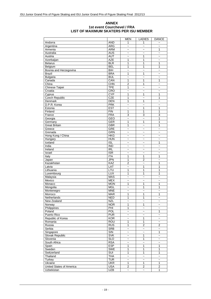#### **ANNEX 1st event Courchevel / FRA LIST OF MAXIMUM SKATERS PER ISU MEMBER**

|                          |            | MEN                       | <b>LADIES</b>             | <b>DANCE</b>             |
|--------------------------|------------|---------------------------|---------------------------|--------------------------|
| Andorra                  | <b>AND</b> | 1                         | 1                         |                          |
| Argentina                | <b>ARG</b> | $\ddot{ }$                | $\ddot{\phantom{0}}$      | $\tilde{\phantom{a}}$    |
| Armenia                  | <b>ARM</b> | $\sim$                    | $\sim$                    | 1                        |
| Australia                | <b>AUS</b> | $\tilde{}$                | $\tilde{}$                | $\tilde{}$               |
| Austria                  | <b>AUT</b> | $\tilde{\phantom{a}}$     | 1                         | $\overline{\phantom{0}}$ |
| Azerbaijan               | <b>AZE</b> | 1                         | 1                         | $\sim$                   |
| <b>Belarus</b>           | <b>BLR</b> | 1                         | 1                         | 1                        |
| Belgium                  | <b>BEL</b> | 1                         | 1                         | 1                        |
| Bosnia and Herzegovina   | <b>BIH</b> | $\ddot{ }$                | $\ddot{ }$                | $\ddot{\phantom{0}}$     |
| <b>Brazil</b>            | <b>BRA</b> | 1                         | 1                         | $\sim$                   |
| <b>Bulgaria</b>          | <b>BUL</b> | $\ddot{ }$                | $\ddot{ }$                |                          |
| Canada                   | CAN        | 1                         | 1                         | 1                        |
| China                    | CHN        | 2                         | 1                         | $\overline{ }$           |
| <b>Chinese Taipei</b>    | <b>TPE</b> | 1                         | $\ddot{ }$                | $\overline{ }$           |
| Croatia                  | CRO        | $\ddot{\phantom{0}}$      | $\ddot{\phantom{0}}$      | $\tilde{\phantom{a}}$    |
| Cyprus                   | <b>CYP</b> | 1                         | 1                         | 1                        |
| <b>Czech Republic</b>    | CZE        | 1                         | $\ddot{ }$                | 1                        |
| Denmark                  | <b>DEN</b> | 1                         | 1                         | $\overline{ }$           |
| D.P.R. Korea             | <b>PRK</b> |                           |                           |                          |
|                          |            | $\overline{ }$            | $\overline{ }$            | $\tilde{}$               |
| Estonia                  | <b>EST</b> | $\tilde{}$                | 1                         | 1                        |
| Finland                  | <b>FIN</b> | 1                         | 1                         | 1                        |
| France                   | <b>FRA</b> | 3                         | 3                         | 3                        |
| Georgia                  | <b>GEO</b> | $\tilde{}$                | $\tilde{}$                | 1                        |
| Germany                  | <b>GER</b> | 1                         | $\mathbf{1}$              | 1                        |
| <b>Great Britain</b>     | <b>GBR</b> | 1                         | $\tilde{}$                | 1                        |
| Greece                   | GRE        | $\ddot{ }$                | $\ddot{ }$                | $\overline{\phantom{0}}$ |
| Grenada                  | GRN        | $\ddot{ }$                | $\sim$                    | $\sim$                   |
| Hong Kong / China        | <b>HKG</b> | $\overline{ }$            | $\tilde{}$                | $\tilde{\phantom{a}}$    |
| Hungary                  | <b>HUN</b> | $\sim$                    | $\tilde{\phantom{a}}$     | $\tilde{}$               |
| Iceland                  | <b>ISL</b> | $\tilde{\phantom{a}}$     | $\tilde{}$                | 1                        |
| India                    | <b>IND</b> | $\tilde{}$                | $\sim$                    | $\overline{ }$           |
| Ireland                  | <b>IRL</b> | $\overline{ }$            | $\overline{ }$            | $\overline{ }$           |
| Israel                   | <b>ISR</b> | $\tilde{}$                | $\tilde{}$                | $\tilde{}$               |
| Italy                    | <b>ITA</b> | 1                         | 1                         | 1                        |
| Japan                    | <b>JPN</b> | 1                         | $\overline{c}$            | $\ddot{ }$               |
| Kazakhstan               | <b>KAZ</b> | $\overline{2}$            | $\overline{ }$            | 1                        |
| Latvia                   | LAT        | $\ddot{ }$                | 1                         | 1                        |
| Lithuania                | LTU        | 1                         | 1                         | 1                        |
| Luxembourg               | <b>LUX</b> | 1                         | 1                         | 1                        |
| Malaysia                 | <b>MAS</b> | $\ddot{ }$                | $\tilde{}$                | $\sim$                   |
| Mexico                   | <b>MEX</b> | $\tilde{}$                | $\tilde{}$                | $\tilde{}$               |
| Monaco                   | <b>MON</b> | 1                         | 1                         | 1                        |
| Mongolia                 | <b>MGL</b> | $\ddot{ }$                | 1                         | 1                        |
| Montenegro               | <b>MNE</b> | $\tilde{}$                | $\tilde{}$                | $\overline{\phantom{0}}$ |
| Morroco                  | <b>MAR</b> | 1                         | $\mathbf{1}$              | 1                        |
| Netherlands              | <b>NED</b> | $\mathbf 1$               | $\mathbf{1}$              | $\tilde{}$               |
| New Zealand              | <b>NZL</b> | $\ddot{ }$                | $\ddot{ }$                | $\tilde{\phantom{a}}$    |
| Norway                   | <b>NOR</b> | 1                         | 1                         | $\overline{\phantom{0}}$ |
| Philippines              | PHI        | 1                         | $\widetilde{\phantom{m}}$ | $\tilde{\phantom{a}}$    |
| Poland                   | <b>POL</b> | $\ddot{\phantom{1}}$      | $\tilde{}$                | 1                        |
| Puerto Rico              | <b>PUR</b> | $\tilde{}$                |                           | $\tilde{\phantom{a}}$    |
| Republic of Korea        | <b>KOR</b> | $\tilde{}$                | $\tilde{}$<br>1           | $\tilde{\phantom{a}}$    |
| Romania                  | ROU        | $\mathbf{1}$              | $\mathbf{1}$              | $\overline{\phantom{0}}$ |
|                          | <b>RUS</b> | 1                         | $\overline{2}$            | $\overline{2}$           |
| Russia                   |            |                           |                           |                          |
| Serbia                   | <b>SRB</b> | $\tilde{\phantom{a}}$     | $\tilde{}$                | $\tilde{\phantom{a}}$    |
| Singapore                | SIN        | $\ddot{\phantom{0}}$      | $\tilde{}$                | $\overline{1}$           |
| Slovak Republic          | <b>SVK</b> | $\tilde{}$                | 1                         | $\sim$                   |
| Slovenia                 | <b>SLO</b> | $\tilde{}$                | 1                         | $\tilde{\phantom{a}}$    |
| South Africa             | <b>RSA</b> | $\widetilde{\phantom{m}}$ | $\widetilde{\phantom{m}}$ | $\tilde{}$               |
| Spain                    | <b>ESP</b> | 1                         | 1                         | 1                        |
| Sweden                   | <b>SWE</b> | 1                         | $\mathbf{1}$              | 1                        |
| Switzerland              | SUI        | 1                         | 1                         | 1                        |
| Thailand                 | <b>THA</b> | $\tilde{}$                | $\widetilde{\phantom{m}}$ | $\tilde{\phantom{a}}$    |
| Turkey                   | <b>TUR</b> | $\widetilde{\phantom{m}}$ | $\ddot{\phantom{1}}$      | $\tilde{\phantom{a}}$    |
| Ukraine                  | <b>UKR</b> | 1                         | 1                         | 1                        |
| United States of America | <b>USA</b> | 2                         | $\overline{\mathbf{c}}$   | $\overline{2}$           |
| Uzbekistan               | <b>UZB</b> | $\tilde{}$                | $\tilde{}$                | 1                        |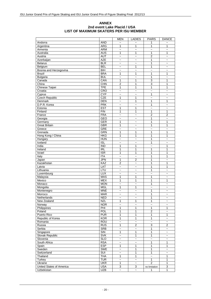#### **ANNEX 2nd event Lake Placid / USA LIST OF MAXIMUM SKATERS PER ISU MEMBER**

|                          |                         | <b>MEN</b>                | <b>LADIES</b>             | <b>PAIRS</b>            | <b>DANCE</b>              |
|--------------------------|-------------------------|---------------------------|---------------------------|-------------------------|---------------------------|
| Andorra                  | <b>AND</b>              |                           |                           | 1                       |                           |
| Argentina                | <b>ARG</b>              | 1                         | 1                         | 1                       | 1                         |
| Armenia                  | <b>ARM</b>              | $\tilde{}$                | $\tilde{}$                | $\tilde{}$              | $\tilde{}$                |
| Australia                | <b>AUS</b>              | $\mathbf{1}$              | 1                         | 1                       | 1                         |
| Austria                  | <b>AUT</b>              | $\tilde{\phantom{a}}$     | $\widetilde{\phantom{m}}$ | $\overline{\mathbf{c}}$ | $\tilde{\phantom{a}}$     |
| Azerbaijan               | <b>AZE</b>              | $\tilde{\phantom{a}}$     | $\ddot{ }$                | 1                       |                           |
| <b>Belarus</b>           | <b>BLR</b>              | $\tilde{\phantom{a}}$     | $\ddot{\phantom{1}}$      | 1                       | $\tilde{}$                |
| Belgium                  | <b>BEL</b>              | $\widetilde{\phantom{m}}$ | 1                         | 1                       | $\tilde{}$                |
| Bosnia and Herzegovina   | <b>BIH</b>              | $\sim$                    | $\ddot{\phantom{0}}$      | $\ddot{ }$              | $\overline{\phantom{0}}$  |
| <b>Brazil</b>            | <b>BRA</b>              | 1                         | 1                         | 1                       | 1                         |
| <b>Bulgaria</b>          | <b>BUL</b>              | $\tilde{\phantom{a}}$     | $\ddot{\phantom{0}}$      | $\overline{1}$          | $\tilde{}$                |
| Canada                   | CAN                     | 1                         | 1                         | 3                       | 1                         |
| China                    | <b>CHN</b>              | $\overline{2}$            | 1                         | $\overline{3}$          | 1                         |
| Chinese Taipei           | <b>TPE</b>              | 1                         | 1                         | 1                       | 1                         |
| Croatia                  | <b>CRO</b>              | $\tilde{}$                | $\overline{\phantom{0}}$  | $\tilde{}$              | $\tilde{}$                |
| Cyprus                   | <b>CYP</b>              | $\tilde{}$                | $\tilde{}$                | 1                       | $\tilde{}$                |
| <b>Czech Republic</b>    | CZE                     | 1                         | 1                         | $\ddot{\phantom{0}}$    | $\tilde{\phantom{a}}$     |
| Denmark                  | DEN                     | $\tilde{}$                | 1                         | 1                       | 1                         |
| D.P.R. Korea             | <b>PRK</b>              | $\tilde{}$                | $\ddot{ }$                | 1                       | $\tilde{}$                |
|                          | <b>EST</b>              | 1                         |                           |                         |                           |
| Estonia<br>Finland       | <b>FIN</b>              | 1                         | 1<br>1                    | $\tilde{}$<br>1         | $\tilde{}$                |
|                          | <b>FRA</b>              | $\sim$                    | $\ddot{\phantom{0}}$      | $\overline{2}$          | 1                         |
| France                   |                         |                           |                           |                         | 2                         |
| Georgia                  | GEO                     | $\tilde{}$                | $\ddot{\phantom{0}}$      | 1                       | $\ddot{ }$                |
| Germany                  | <b>GER</b>              | 1                         | $\overline{\phantom{0}}$  | 1                       | 1                         |
| <b>Great Britain</b>     | <b>GBR</b>              | 1                         | $\tilde{}$                | 1                       | 1                         |
| Greece                   | <b>GRE</b>              | $\tilde{\phantom{a}}$     | $\overline{\phantom{0}}$  | $\ddot{\phantom{0}}$    | $\overline{\phantom{0}}$  |
| Grenada                  | <b>GRN</b>              | 1                         | 1                         | 1                       | 1                         |
| Hong Kong / China        | <b>HKG</b>              | $\mathbf{1}$              | 1                         | 1                       | 1                         |
| Hungary                  | <b>HUN</b>              | $\tilde{}$                | $\tilde{}$                | 1                       | $\tilde{}$                |
| Iceland                  | <b>ISL</b>              | $\tilde{\phantom{a}}$     | $\ddot{\phantom{1}}$      | 1                       | $\tilde{\phantom{a}}$     |
| India                    | $\overline{IND}$        | 1                         | 1                         | $\tilde{}$              | 1                         |
| Ireland                  | R <sub>L</sub>          | $\mathbf{1}$              | 1                         | 1                       | 1                         |
| Israel                   | $\overline{\text{ISR}}$ | 1                         | 1                         | 1                       | 1                         |
| Italy                    | <b>ITA</b>              | $\tilde{\phantom{a}}$     | $\ddot{ }$                | 1                       | 1                         |
| Japan                    | <b>JPN</b>              | $\mathbf{1}$              | 2                         | 1                       | $\sim$                    |
| Kazakhstan               | KAZ                     | 2                         | $\ddot{\phantom{0}}$      | 1                       | 1                         |
| Latvia                   | LAT                     | $\tilde{\phantom{a}}$     | $\tilde{\phantom{a}}$     | 1                       | 1                         |
| Lithuania                | LTU                     | $\tilde{\phantom{a}}$     | $\ddot{\phantom{1}}$      | 1                       | $\tilde{}$                |
| Luxembourg               | LUX                     | $\tilde{}$                | $\widetilde{\phantom{m}}$ | $\tilde{\phantom{a}}$   | $\tilde{}$                |
| Malaysia                 | <b>MAS</b>              | 1                         | 1                         | 1                       | $\ddot{ }$                |
| Mexico                   | <b>MEX</b>              | 1                         | 1                         | 1                       | 1                         |
| Monaco                   | <b>MON</b>              | $\tilde{}$                | $\tilde{}$                | 1                       | $\tilde{}$                |
| Mongolia                 | <b>MGL</b>              | $\mathbf{1}$              | 1                         | $\ddot{ }$              | $\ddot{ }$                |
| Montenegro               | <b>MNE</b>              | $\tilde{}$                | $\tilde{}$                | 1                       | $\tilde{}$                |
| Morroco                  | <b>MAR</b>              | $\tilde{\phantom{a}}$     | $\tilde{\phantom{a}}$     | $\overline{1}$          | $\tilde{}$                |
| Netherlands              | <b>NED</b>              | $\widetilde{\phantom{m}}$ | $\tilde{}$                | 1                       | $\widetilde{\phantom{m}}$ |
| New Zealand              | <b>NZL</b>              | $\mathbf{1}$              | 1                         | 1                       | $\tilde{\phantom{a}}$     |
| Norway                   | <b>NOR</b>              | $\tilde{\phantom{a}}$     | $\tilde{\phantom{a}}$     | $\sim$                  | $\sim$                    |
| Philippines              | PHI                     | 1                         | 1                         | $\mathbf{1}$            | 1                         |
| Poland                   | POL                     | 1                         | 1                         | 2                       | $\tilde{}$                |
| Puerto Rico              | <b>PUR</b>              | $\mathbf{1}$              | 1                         | $\mathbf{1}$            | 1                         |
| Republic of Korea        | <b>KOR</b>              | 1                         | 1                         | $\mathbf{1}$            | $\tilde{}$                |
| Romania                  | <b>ROU</b>              | $\tilde{\phantom{a}}$     | $\ddot{\phantom{0}}$      | $\ddot{\phantom{0}}$    | $\tilde{\phantom{a}}$     |
| Russia                   | <b>RUS</b>              | 1                         | $\overline{2}$            | $\overline{3}$          | $\mathbf{2}$              |
| Serbia                   | SRB                     | $\tilde{}$                | $\tilde{}$                | $\mathbf{1}$            | $\widetilde{\phantom{m}}$ |
| Singapore                | SIN                     | $\mathbf{1}$              | 1                         | $\mathbf{1}$            | $\tilde{\phantom{a}}$     |
| Slovak Republic          | <b>SVK</b>              | $\tilde{}$                | 1                         | $\mathbf{1}$            | $\tilde{}$                |
| Slovenia                 | <b>SLO</b>              | $\tilde{}$                | $\tilde{\phantom{a}}$     | $\tilde{\phantom{a}}$   | $\tilde{}$                |
| South Africa             | <b>RSA</b>              | $\tilde{}$                | $\tilde{}$                | $\mathbf{1}$            | $\mathbf{1}$              |
| Spain                    | <b>ESP</b>              | $\mathbf{1}$              | 1                         | 1                       | 1                         |
| Sweden                   | <b>SWE</b>              | $\tilde{}$                | 1                         | $\overline{1}$          | $\tilde{}$                |
| Switzerland              | <b>SUI</b>              | $\tilde{}$                | 1                         | $\overline{1}$          | $\tilde{}$                |
| Thailand                 | <b>THA</b>              | $\mathbf{1}$              | 1                         | $\tilde{}$              | 1                         |
| Turkey                   | <b>TUR</b>              | $\ddot{\phantom{0}}$      | $\ddot{\phantom{0}}$      | $\overline{1}$          | 1                         |
| Ukraine                  | <b>UKR</b>              | $\mathbf{1}$              | $\tilde{}$                | $\overline{2}$          | 1                         |
| United States of America | <b>USA</b>              | 3                         | 3                         | no limitation           | 3                         |
| Uzbekistan               | <b>UZB</b>              | $\tilde{\phantom{a}}$     | $\tilde{}$                | 1                       | 1                         |
|                          |                         |                           |                           |                         |                           |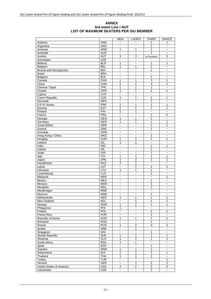#### **ANNEX 3rd event Linz / AUT LIST OF MAXIMUM SKATERS PER ISU MEMBER**

|                              |                         | <b>MEN</b>                          | <b>LADIES</b>             | <b>PAIRS</b>              | <b>DANCE</b>                        |
|------------------------------|-------------------------|-------------------------------------|---------------------------|---------------------------|-------------------------------------|
| Andorra                      | <b>AND</b>              | $\overline{ }$                      |                           | 1                         | 1                                   |
| Argentina                    | <b>ARG</b>              | $\sim$                              | $\sim$                    | 1                         | $\sim$                              |
| Armenia                      | <b>ARM</b>              | 1                                   | 1                         | 1                         | $\tilde{\phantom{a}}$               |
| Australia                    | <b>AUS</b>              | $\widetilde{\phantom{m}}$           | $\ddot{\phantom{0}}$      | 1                         | $\tilde{}$                          |
| Austria                      | <b>AUT</b>              | 3                                   | 3                         | no limitation             | 3                                   |
| Azerbaijan                   | <b>AZE</b>              | $\ddot{ }$                          | $\ddot{\phantom{0}}$      |                           | $\ddot{ }$                          |
| <b>Belarus</b>               | BLR                     | 1                                   | $\ddot{\phantom{0}}$      | 1                         | 1                                   |
| Belgium                      | <b>BEL</b>              | 1                                   | 1                         | 1                         | $\tilde{}$                          |
| Bosnia and Herzegovina       | <b>BIH</b>              | $\tilde{}$                          | $\tilde{}$                | 1                         | $\widetilde{\phantom{m}}$           |
| <b>Brazil</b>                | <b>BRA</b>              | $\overline{\phantom{0}}$            | $\overline{ }$            | $\ddot{\phantom{0}}$      | $\overline{ }$                      |
| Bulgaria                     | <b>BUL</b>              | $\overline{ }$                      | $\sim$                    | 1                         | $\sim$                              |
| Canada                       | CAN                     | 1                                   | 1                         | $\overline{3}$            | 1                                   |
| China                        | CHN                     | $\overline{2}$                      | 1                         | 3                         | 1                                   |
| Chinese Taipei               | <b>TPE</b>              | 1                                   | 1                         | 1                         | $\ddot{\phantom{0}}$                |
| Croatia                      | CRO                     | 1                                   | 1                         | 1                         | 1                                   |
| Cyprus                       | <b>CYP</b>              | $\ddot{ }$                          | $\ddot{ }$                | $\ddot{\phantom{1}}$      | $\tilde{}$                          |
| <b>Czech Republic</b>        | <b>CZE</b>              | 1                                   | 1                         | 1                         | 1                                   |
| Denmark                      | DEN                     | $\overline{\phantom{0}}$            | $\sim$                    | 1                         | $\overline{ }$                      |
| D.P.R. Korea                 | <b>PRK</b>              | $\mathbf{1}$                        | 1                         | 1                         | 1                                   |
| Estonia                      | <b>EST</b>              | 1                                   | 1                         | 1                         | 1                                   |
| Finland                      | FIN                     | 1                                   | 1                         | $\ddot{\phantom{1}}$      | $\tilde{}$                          |
| France                       | <b>FRA</b>              | $\ddot{ }$                          | $\ddot{\phantom{0}}$      | $\overline{2}$            | $\overline{2}$                      |
| Georgia                      | <b>GEO</b>              | 1                                   | 1                         | 1                         | $\overline{\phantom{0}}$            |
| Germany                      | GER                     | 1                                   | 1                         | 1                         | 1                                   |
| <b>Great Britain</b>         | <b>GBR</b>              | $\ddot{\phantom{1}}$                | $\ddot{ }$                | 1                         | 1                                   |
|                              | GRE                     |                                     |                           | 1                         |                                     |
| Greece                       | <b>GRN</b>              | $\tilde{}$<br>$\tilde{\phantom{a}}$ | $\tilde{}$<br>$\ddot{ }$  | $\ddot{\phantom{0}}$      | $\tilde{}$<br>$\tilde{\phantom{a}}$ |
| Grenada<br>Hong Kong / China | <b>HKG</b>              |                                     |                           | 1                         |                                     |
|                              |                         | $\tilde{\phantom{a}}$               | $\tilde{}$                | 1                         | $\tilde{}$                          |
| Hungary                      | <b>HUN</b>              | 1                                   | 1                         |                           | 1                                   |
| Iceland                      | $\overline{ISL}$        | 1                                   | 1                         | $\tilde{}$                | $\tilde{}$                          |
| India                        | $\overline{IND}$        | $\tilde{\phantom{a}}$               | $\tilde{}$                | 1                         | 1                                   |
| Ireland                      | R <sub>L</sub>          | $\sim$                              | $\sim$                    | 1                         | $\sim$                              |
| Israel                       | <b>ISR</b>              | $\tilde{}$                          | $\ddot{\phantom{0}}$      | 1                         | $\overline{ }$                      |
| Italy                        | <b>ITA</b>              | 1                                   | 1                         | 1                         | 1                                   |
| Japan                        | <b>JPN</b>              | 1                                   | 2                         | 1                         | 1                                   |
| Kazakhstan                   | KAZ                     | $\overline{2}$                      | 1                         | $\tilde{\phantom{a}}$     | $\ddot{\phantom{1}}$                |
| Latvia                       | <b>LAT</b>              | $\ddot{ }$                          | 1                         | 1                         | 1                                   |
| Lithuania                    | LTU                     | 1                                   | 1                         | 1                         | $\tilde{}$                          |
| Luxembourg                   | <b>LUX</b>              | $\overline{\phantom{0}}$            | $\ddot{\phantom{1}}$      | 1                         | $\tilde{}$                          |
| Malaysia                     | <b>MAS</b>              | $\sim$                              | $\sim$                    | $\sim$                    | 1                                   |
| Mexico                       | <b>MEX</b>              | $\tilde{}$                          | $\ddot{\phantom{0}}$      | 1                         | $\tilde{}$                          |
| Monaco                       | <b>MON</b>              | $\sim$                              | $\sim$                    | 1                         | $\tilde{ }$                         |
| Mongolia                     | <b>MGL</b>              | $\widetilde{\phantom{m}}$           | $\tilde{}$                | 1                         | $\widetilde{\phantom{m}}$           |
| Montenegro                   | <b>MNE</b>              | $\tilde{}$                          | $\widetilde{\phantom{m}}$ | $\tilde{}$                | $\tilde{}$                          |
| Morroco                      | <b>MAR</b>              | $\tilde{}$                          | $\tilde{}$                | 1                         | $\widetilde{\phantom{m}}$           |
| Netherlands                  | <b>NED</b>              | 1                                   | 1                         | 1                         | 1                                   |
| New Zealand                  | <b>NZL</b>              | $\widetilde{\phantom{m}}$           | 1                         | 1                         | 1                                   |
| Norway                       | <b>NOR</b>              | 1                                   | 1                         | 1                         | 1                                   |
| Philippines                  | PHI                     | 1                                   | $\tilde{}$                | $\tilde{\phantom{a}}$     | $\tilde{}$                          |
| Poland                       | POL                     | $\ddot{\phantom{1}}$                | $\overline{\phantom{0}}$  | $\overline{2}$            | 1                                   |
| Puerto Rico                  | <b>PUR</b>              | $\widetilde{\phantom{m}}$           | $\widetilde{\phantom{m}}$ | $\mathbf{1}$              | $\tilde{\phantom{a}}$               |
| Republic of Korea            | <b>KOR</b>              | 1                                   | $\mathbf{1}$              | $\mathbf{1}$              | $\mathbf{1}$                        |
| Romania                      | <b>ROU</b>              | $\sim$                              | $\tilde{\phantom{a}}$     | $\mathbf{1}$              | $\tilde{\phantom{a}}$               |
| Russia                       | <b>RUS</b>              | 1                                   | $\overline{2}$            | 3                         | $\overline{c}$                      |
| Serbia                       | SRB                     | $\tilde{}$                          | 1                         | $\tilde{}$                | $\tilde{}$                          |
| Singapore                    | $\overline{\text{S}}$   | $\tilde{\phantom{a}}$               | $\overline{\phantom{a}}$  | $\overline{1}$            | $\tilde{\phantom{a}}$               |
| Slovak Republic              | <b>SVK</b>              | 1                                   | 1                         | $\mathbf{1}$              | 1                                   |
| Slovenia                     | <b>SLO</b>              | $\mathbf{1}$                        | $\mathbf{1}$              | $\mathbf{1}$              | $\mathbf{1}$                        |
| South Africa                 | <b>RSA</b>              | 1                                   | $\mathbf{1}$              | $\tilde{\phantom{a}}$     | $\tilde{\phantom{a}}$               |
| Spain                        | <b>ESP</b>              | $\tilde{}$                          | $\tilde{}$                | 1                         | $\tilde{}$                          |
| Sweden                       | <b>SWE</b>              | 1                                   | $\mathbf{1}$              | 1                         | $\overline{\phantom{a}}$            |
| Switzerland                  | $\overline{\text{SUI}}$ | 1                                   | 1                         | $\mathbf{1}$              | 1                                   |
| Thailand                     | <b>THA</b>              | 1                                   | $\overline{1}$            | $\overline{1}$            | $\tilde{}$                          |
| Turkey                       | <b>TUR</b>              | $\tilde{}$                          | $\widetilde{\phantom{m}}$ | $\tilde{}$                | $\overline{1}$                      |
| Ukraine                      | <b>UKR</b>              | $\tilde{}$                          | 1                         | $\overline{2}$            | $\mathbf 1$                         |
| United States of America     | <b>USA</b>              | 2                                   | $\overline{2}$            | $\ensuremath{\mathsf{3}}$ | $\boldsymbol{2}$                    |
| Uzbekistan                   | <b>UZB</b>              | $\tilde{}$                          | $\tilde{}$                | $\mathbf{1}$              | $\tilde{}$                          |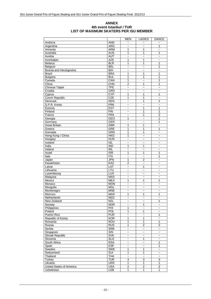#### **ANNEX 4th event Istanbul / TUR LIST OF MAXIMUM SKATERS PER ISU MEMBER**

|                          |                          | <b>MEN</b>                   | <b>LADIES</b>                    | <b>DANCE</b>             |
|--------------------------|--------------------------|------------------------------|----------------------------------|--------------------------|
| Andorra                  | <b>AND</b>               | $\tilde{}$                   | $\tilde{}$                       |                          |
| Argentina                | <b>ARG</b>               | $\overline{ }$               | $\overline{ }$                   | 1                        |
| Armenia                  | <b>ARM</b>               | 1                            | 1                                | $\ddot{ }$               |
| Australia                | <b>AUS</b>               | 1                            | 1                                | 1                        |
| Austria                  | <b>AUT</b>               | $\ddot{ }$                   | $\tilde{}$                       | $\sim$                   |
| Azerbaijan               | <b>AZE</b>               | 1                            | $\mathbf{1}$                     | $\ddot{ }$               |
| <b>Belarus</b>           | <b>BLR</b>               | 1                            | 1                                | 1                        |
| Belgium                  | <b>BEL</b>               | $\overline{ }$               | $\overline{ }$                   | 1                        |
| Bosnia and Herzegovina   | <b>BIH</b>               | $\overline{ }$               | $\tilde{}$                       | $\overline{\phantom{0}}$ |
| <b>Brazil</b>            | <b>BRA</b>               | 1                            | 1                                | 1                        |
| <b>Bulgaria</b>          | <b>BUL</b>               | 1                            | 1                                | 1                        |
| Canada                   | CAN                      | 1                            | $\tilde{}$                       | 1                        |
| China                    | CHN                      | $\overline{2}$               | 1                                | $\overline{1}$           |
| <b>Chinese Taipei</b>    | <b>TPE</b>               | $\widetilde{\phantom{m}}$    | $\tilde{}$                       | $\tilde{\phantom{a}}$    |
| Croatia                  | CRO                      | $\tilde{\phantom{a}}$        | $\tilde{}$                       | $\tilde{\phantom{a}}$    |
| Cyprus                   | <b>CYP</b>               | 1                            | 1                                | 1                        |
| <b>Czech Republic</b>    | CZE                      | 1                            | $\mathbf{1}$                     | $\ddot{\phantom{1}}$     |
| Denmark                  | DEN                      | $\overline{ }$               | 1                                | 1                        |
| D.P.R. Korea             | <b>PRK</b>               | $\ddot{ }$                   | $\ddot{ }$                       | $\ddot{ }$               |
| Estonia                  | <b>EST</b>               | $\overline{ }$               | 1                                | 1                        |
| Finland                  | <b>FIN</b>               | $\overline{ }$               | 1                                | 1                        |
| France                   |                          |                              |                                  | $\overline{2}$           |
|                          | <b>FRA</b>               | $\ddot{\phantom{0}}$         | 1                                |                          |
| Georgia                  | <b>GEO</b>               | 1                            | $\ddot{ }$                       | 1                        |
| Germany                  | GER                      | $\ddot{ }$                   | $\overline{\phantom{0}}$         | 1                        |
| <b>Great Britain</b>     | <b>GBR</b>               | 1                            | 1                                | $\overline{ }$           |
| Greece                   | <b>GRE</b>               | 1                            | 1                                | 1                        |
| Grenada                  | <b>GRN</b>               | 1                            | 1                                | $\tilde{\phantom{a}}$    |
| Hong Kong / China        | <b>HKG</b>               | 1                            | $\tilde{}$                       | $\overline{ }$           |
| Hungary                  | <b>HUN</b>               | $\ddot{\phantom{0}}$         | $\sim$                           | $\sim$                   |
| Iceland                  | ISL                      | $\tilde{}$                   | $\tilde{}$                       | $\tilde{}$               |
| India                    | <b>IND</b>               | 1                            | 1                                | $\tilde{\phantom{a}}$    |
| Ireland                  | R <sub>L</sub>           | $\ddot{ }$                   | $\ddot{ }$                       | $\overline{\phantom{0}}$ |
| Israel                   | <b>ISR</b>               | 1                            | 1                                | 1                        |
| Italy                    | <b>ITA</b>               | $\ddot{ }$                   | $\ddot{ }$                       | 1                        |
| Japan                    | <b>JPN</b>               | 1                            | $\overline{2}$                   | $\tilde{\phantom{a}}$    |
| Kazakhstan               | KAZ                      | $\overline{2}$               | $\overline{ }$                   | $\overline{\phantom{0}}$ |
| Latvia                   | LAT                      | $\ddot{ }$                   | 1                                | $\sim$                   |
| Lithuania                | LTU                      | $\tilde{}$                   | $\overline{ }$                   | $\tilde{\phantom{a}}$    |
| Luxembourg               | LUX                      | $\overline{ }$               | $\overline{ }$                   | $\tilde{\phantom{a}}$    |
| Malaysia                 | <b>MAS</b>               | $\tilde{\phantom{a}}$        | $\overline{ }$                   | $\ddot{\phantom{1}}$     |
| Mexico                   | <b>MEX</b>               | 1                            | 1                                | 1                        |
| Monaco                   | <b>MON</b>               | $\ddot{ }$                   | $\overline{ }$                   | $\overline{\phantom{0}}$ |
| Mongolia                 | <b>MGL</b>               | $\tilde{\phantom{a}}$        | $\tilde{}$                       | $\overline{\phantom{0}}$ |
| Montenegro               | <b>MNE</b>               | $\tilde{}$                   | $\tilde{}$                       | $\tilde{\phantom{a}}$    |
| Morroco                  | <b>MAR</b>               | 1                            | 1                                | 1                        |
| Netherlands              | <b>NED</b>               | $\widetilde{\phantom{m}}$    | $\widetilde{\phantom{m}}$        | $\tilde{}$               |
| New Zealand              | <b>NZL</b>               | $\tilde{\phantom{a}}$        | $\widetilde{\phantom{m}}$        | 1                        |
| Norway                   | <b>NOR</b>               | $\tilde{}$                   | $\overline{1}$                   | $\tilde{\phantom{a}}$    |
| Philippines              | PHI                      | 1                            | $\tilde{\phantom{a}}$            | $\tilde{\phantom{a}}$    |
| Poland                   | <b>POL</b>               | $\mathbf{1}$                 | $\mathbf{1}$                     | $\tilde{\phantom{a}}$    |
| Puerto Rico              | <b>PUR</b>               | $\ddot{\phantom{0}}$         | $\ddot{\phantom{0}}$             | 1                        |
| Republic of Korea        | <b>KOR</b>               | 1                            | 1                                | $\tilde{\phantom{a}}$    |
| Romania                  | <b>ROU</b>               | 1                            | 1                                | 1                        |
| Russia                   | <b>RUS</b>               | 1                            | $\overline{\mathbf{c}}$          | 2                        |
| Serbia                   | <b>SRB</b>               | $\ddot{\phantom{0}}$         | $\ddot{\phantom{1}}$             | $\tilde{\phantom{a}}$    |
| Singapore                | SIN                      | $\tilde{}$                   | $\tilde{}$                       | $\tilde{\phantom{a}}$    |
| Slovak Republic          | <b>SVK</b>               | $\tilde{}$                   | $\tilde{}$                       | $\tilde{\phantom{a}}$    |
| Slovenia                 | $\overline{\text{SLO}}$  | $\tilde{\phantom{a}}$        | $\mathbf{1}$                     | $\ddot{ }$               |
| South Africa             |                          |                              |                                  |                          |
|                          | <b>RSA</b><br><b>ESP</b> | $\tilde{}$                   | $\widetilde{\phantom{m}}$        | 1<br>$\overline{1}$      |
| Spain                    | <b>SWE</b>               | $\tilde{}$<br>$\overline{1}$ | $\overline{ }$<br>$\overline{1}$ |                          |
| Sweden                   |                          |                              |                                  | $\tilde{\phantom{a}}$    |
| Switzerland              | <b>SUI</b>               | 1                            | 1                                | $\tilde{\phantom{a}}$    |
| Thailand                 | <b>THA</b>               | $\ddot{\phantom{0}}$         | $\ddot{\phantom{0}}$             | $\tilde{\phantom{a}}$    |
| Turkey                   | <b>TUR</b>               | $\overline{3}$               | 3                                | $\overline{3}$           |
| Ukraine                  | <b>UKR</b>               | $\overline{1}$               | $\overline{1}$                   | $\overline{1}$           |
| United States of America | <b>USA</b>               | $\overline{2}$               | $\overline{2}$                   | $\overline{2}$           |
| Uzbekistan               | <b>UZB</b>               | 1                            | 1                                | 1                        |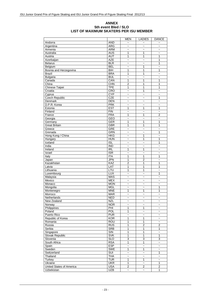#### **ANNEX 5th event Bled / SLO LIST OF MAXIMUM SKATERS PER ISU MEMBER**

|                          |                         | <b>MEN</b>                | LADIES                    | <b>DANCE</b>             |
|--------------------------|-------------------------|---------------------------|---------------------------|--------------------------|
| Andorra                  | <b>AND</b>              | $\tilde{\phantom{a}}$     | $\tilde{}$                |                          |
| Argentina                | <b>ARG</b>              | $\tilde{}$                | $\ddot{\phantom{1}}$      | $\tilde{\phantom{a}}$    |
| Armenia                  | <b>ARM</b>              | $\ddot{ }$                | $\ddot{ }$                | $\sim$                   |
| Australia                | <b>AUS</b>              | 1                         | 1                         | $\tilde{}$               |
| Austria                  | <b>AUT</b>              | 1                         | 1                         | 1                        |
| Azerbaijan               | <b>AZE</b>              | $\widetilde{\phantom{m}}$ | $\widetilde{\phantom{m}}$ | 1                        |
| <b>Belarus</b>           | <b>BLR</b>              | $\ddot{\phantom{1}}$      | $\overline{ }$            | 1                        |
| Belgium                  | <b>BEL</b>              | $\sim$                    | 1                         | $\overline{a}$           |
| Bosnia and Herzegovina   | <b>BIH</b>              | 1                         | 1                         | 1                        |
| <b>Brazil</b>            | <b>BRA</b>              | 1                         | 1                         | $\tilde{\phantom{a}}$    |
| <b>Bulgaria</b>          | <b>BUL</b>              | $\ddot{ }$                | $\ddot{ }$                | $\ddot{\phantom{1}}$     |
| Canada                   | CAN                     | 1                         | 1                         | 1                        |
| China                    | CHN                     | $\overline{2}$            | 1                         | 1                        |
| <b>Chinese Taipei</b>    | <b>TPE</b>              | 1                         | 1                         | 1                        |
| Croatia                  | CRO                     | $\ddot{ }$                | 1                         | $\overline{\phantom{0}}$ |
| Cyprus                   | <b>CYP</b>              | $\ddot{\phantom{0}}$      | $\ddot{ }$                | $\overline{\phantom{0}}$ |
| <b>Czech Republic</b>    | CZE                     | $\tilde{}$                | $\overline{ }$            | 1                        |
| Denmark                  | DEN                     | $\overline{ }$            | $\tilde{}$                | $\sim$                   |
| D.P.R. Korea             | <b>PRK</b>              | $\tilde{}$                | $\tilde{}$                | $\tilde{}$               |
| Estonia                  | <b>EST</b>              | 1                         | 1                         | 1                        |
| Finland                  | <b>FIN</b>              | $\ddot{\phantom{0}}$      | $\overline{ }$            | $\overline{\phantom{0}}$ |
| France                   | <b>FRA</b>              | 1                         | $\mathbf{1}$              | $\overline{2}$           |
|                          | <b>GEO</b>              |                           |                           |                          |
| Georgia                  | GFR                     | $\tilde{}$                | $\tilde{}$                | $\tilde{\phantom{a}}$    |
| Germany                  |                         | 1                         | 1                         | 1                        |
| <b>Great Britain</b>     | <b>GBR</b>              | 1                         | 1                         | 1                        |
| Greece                   | GRE                     | $\ddot{ }$                | $\overline{ }$            | $\ddot{ }$               |
| Grenada                  | GRN                     | $\ddot{\phantom{1}}$      | $\overline{ }$            | 1                        |
| Hong Kong / China        | <b>HKG</b>              | $\tilde{}$                | 1                         | $\ddot{ }$               |
| Hungary                  | <b>HUN</b>              | $\sim$                    | 1                         | 1                        |
| Iceland                  | <b>ISL</b>              | $\tilde{}$                | $\overline{ }$            | 1                        |
| India                    | <b>IND</b>              | $\overline{ }$            | $\tilde{}$                | $\overline{\phantom{0}}$ |
| Ireland                  | <b>IRL</b>              | 1                         | 1                         | $\tilde{\phantom{a}}$    |
| Israel                   | $\overline{\text{ISR}}$ | $\ddot{\phantom{1}}$      | $\overline{\phantom{0}}$  | $\overline{\phantom{0}}$ |
| Italy                    | <b>ITA</b>              | 1                         | $\mathbf{1}$              | 1                        |
| Japan                    | <b>JPN</b>              | 1                         | $\overline{c}$            | $\ddot{\phantom{1}}$     |
| Kazakhstan               | KAZ                     | $\overline{2}$            | 1                         | 1                        |
| Latvia                   | <b>LAT</b>              | 1                         | 1                         | 1                        |
| Lithuania                | LTU                     | 1                         | 1                         | $\tilde{}$               |
| Luxembourg               | <b>LUX</b>              | $\ddot{\phantom{1}}$      | $\overline{ }$            | 1                        |
| Malaysia                 | <b>MAS</b>              | $\tilde{}$                | $\tilde{}$                | $\tilde{\phantom{a}}$    |
| Mexico                   | <b>MEX</b>              | $\tilde{}$                | $\tilde{}$                | $\tilde{\phantom{a}}$    |
| Monaco                   | <b>MON</b>              | $\sim$                    | $\sim$                    | $\sim$                   |
| Mongolia                 | <b>MGL</b>              | $\tilde{}$                | $\overline{ }$            | 1                        |
| Montenegro               | <b>MNE</b>              | 1                         | 1                         | 1                        |
| Morroco                  | <b>MAR</b>              | $\tilde{\phantom{a}}$     | $\tilde{}$                | $\ddot{ }$               |
| Netherlands              | <b>NED</b>              | $\tilde{}$                | $\overline{ }$            |                          |
| New Zealand              | NZL                     | $\tilde{\phantom{a}}$     | $\tilde{}$                |                          |
| Norway                   | <b>NOR</b>              | $\tilde{}$                | $\tilde{}$                | $\tilde{}$               |
| Philippines              | PHI                     | 1                         | 1                         | $\tilde{}$               |
| Poland                   | POL                     | 1                         | $\ddot{\phantom{1}}$      | $\sim$                   |
| Puerto Rico              | <b>PUR</b>              | $\ddot{\phantom{0}}$      | $\tilde{\phantom{a}}$     | $\tilde{\phantom{a}}$    |
| Republic of Korea        | <b>KOR</b>              | 1                         | 1                         | $\tilde{}$               |
| Romania                  | <b>ROU</b>              | 1                         | $\overline{1}$            | $\tilde{\phantom{a}}$    |
| Russia                   | <b>RUS</b>              | 1                         | $\overline{\mathbf{c}}$   | $\overline{2}$           |
| Serbia                   | <b>SRB</b>              | 1                         | $\overline{1}$            | 1                        |
| Singapore                | SIN                     | 1                         | $\overline{1}$            | ~                        |
| <b>Slovak Republic</b>   | <b>SVK</b>              | 1                         | $\overline{1}$            | $\overline{1}$           |
| Slovenia                 | <b>SLO</b>              | 3                         | 3                         | 3                        |
| South Africa             | <b>RSA</b>              | 1                         | 1                         | $\tilde{\phantom{a}}$    |
| Spain                    | <b>ESP</b>              | $\ddot{\phantom{0}}$      | $\ddot{\phantom{0}}$      | $\tilde{\phantom{a}}$    |
| Sweden                   | SWE                     | $\overline{1}$            | $\mathbf{1}$              | ~                        |
| Switzerland              | <b>SUI</b>              | $\tilde{\phantom{a}}$     | $\tilde{}$                | 1                        |
| Thailand                 | <b>THA</b>              | $\tilde{}$                | $\tilde{}$                | $\ddot{\phantom{0}}$     |
|                          | <b>TUR</b>              |                           |                           |                          |
| <b>Turkey</b>            |                         | 1                         | 1                         | $\ddot{\phantom{0}}$     |
| Ukraine                  | <b>UKR</b>              | 1                         | $\tilde{}$                | 1                        |
| United States of America | <b>USA</b>              | $\overline{2}$            | $\mathbf{2}$              | $\overline{c}$           |
| Uzbekistan               | <b>UZB</b>              | $\tilde{}$                | $\tilde{}$                | 1                        |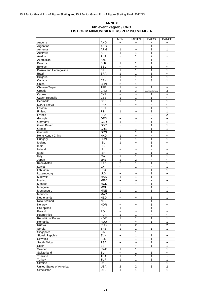#### **ANNEX 6th event Zagreb / CRO LIST OF MAXIMUM SKATERS PER ISU MEMBER**

|                          |                         | <b>MEN</b>               | <b>LADIES</b>             | <b>PAIRS</b>              | <b>DANCE</b>             |
|--------------------------|-------------------------|--------------------------|---------------------------|---------------------------|--------------------------|
| Andorra                  | <b>AND</b>              | $\overline{ }$           |                           |                           |                          |
| Argentina                | <b>ARG</b>              | $\sim$                   | $\overline{ }$            | 1                         | $\overline{ }$           |
| Armenia                  | <b>ARM</b>              | 1                        | $\overline{ }$            | 1                         | 1                        |
| Australia                | <b>AUS</b>              | 1                        | 1                         | 1                         | $\tilde{}$               |
| Austria                  | <b>AUT</b>              | $\overline{\phantom{0}}$ | 1                         | $\overline{2}$            | $\tilde{\phantom{a}}$    |
| Azerbaijan               | <b>AZE</b>              | $\overline{\phantom{0}}$ | $\ddot{ }$                | 1                         | $\overline{ }$           |
| <b>Belarus</b>           | <b>BLR</b>              | 1                        | 1                         | 1                         | $\tilde{\phantom{a}}$    |
| Belgium                  | <b>BEL</b>              | $\overline{\phantom{0}}$ | $\overline{ }$            | 1                         | ~                        |
|                          | <b>BIH</b>              | 1                        | 1                         | 1                         | 1                        |
| Bosnia and Herzegovina   |                         |                          |                           |                           |                          |
| <b>Brazil</b>            | <b>BRA</b>              | 1                        | 1                         | 1                         | $\overline{\phantom{0}}$ |
| <b>Bulgaria</b>          | <b>BUL</b>              | 1                        | 1                         | 1                         | 1                        |
| Canada                   | CAN                     | 1                        | 1                         | 3                         | 1                        |
| China                    | CHN                     | $\overline{2}$           | 1                         | 3                         | $\tilde{}$               |
| Chinese Taipei           | <b>TPE</b>              | 1                        | $\ddot{ }$                | 1                         | $\ddot{\phantom{0}}$     |
| Croatia                  | CRO                     | 3                        | 3                         | no limitation             | 3                        |
| Cyprus                   | <b>CYP</b>              | $\ddot{ }$               | $\ddot{ }$                | 1                         | $\tilde{}$               |
| <b>Czech Republic</b>    | <b>CZE</b>              | 1                        | 1                         | 1                         | $\tilde{}$               |
| Denmark                  | DEN                     | 1                        | 1                         | 1                         | 1                        |
| D.P.R. Korea             | <b>PRK</b>              | $\sim$                   | $\overline{a}$            | $\sim$                    | $\sim$                   |
| Estonia                  | <b>EST</b>              | $\overline{ }$           | $\overline{ }$            | 1                         | 1                        |
| Finland                  | FIN                     | 1                        | $\sim$                    | 1                         | 1                        |
| France                   | <b>FRA</b>              | $\tilde{\phantom{a}}$    | $\tilde{\phantom{a}}$     | $\overline{2}$            | $\overline{2}$           |
| Georgia                  | <b>GEO</b>              | $\tilde{}$               | $\overline{ }$            | $\tilde{\phantom{a}}$     | $\overline{ }$           |
| Germany                  | GER                     | 1                        | $\overline{ }$            | 1                         | 1                        |
| <b>Great Britain</b>     | <b>GBR</b>              | $\ddot{\phantom{1}}$     |                           | 1                         | 1                        |
|                          |                         |                          | $\ddot{\phantom{0}}$      |                           |                          |
| Greece                   | GRE                     | $\tilde{}$               | 1                         | 1                         | $\mathbf{1}$             |
| Grenada                  | <b>GRN</b>              | $\tilde{\phantom{a}}$    | 1                         | 1                         | $\ddot{\phantom{0}}$     |
| Hong Kong / China        | <b>HKG</b>              | 1                        | $\tilde{}$                | $\sim$                    | $\tilde{}$               |
| Hungary                  | <b>HUN</b>              | 1                        | 1                         | 1                         | 1                        |
| Iceland                  | $\overline{ISL}$        | 1                        | $\tilde{}$                | 1                         | $\tilde{}$               |
| India                    | $\overline{IND}$        | $\tilde{\phantom{a}}$    | $\tilde{}$                | 1                         | $\tilde{}$               |
| Ireland                  | R <sub>L</sub>          | $\sim$                   | $\overline{\phantom{0}}$  | $\ddot{ }$                | $\sim$                   |
| Israel                   | <b>ISR</b>              | $\tilde{}$               | 1                         | 1                         | 1                        |
| Italy                    | <b>ITA</b>              | 1                        | 1                         | 1                         | 1                        |
| Japan                    | <b>JPN</b>              | 1                        | $\overline{2}$            | $\ddot{ }$                | $\ddot{\phantom{0}}$     |
| Kazakhstan               | KAZ                     | 2                        | 1                         | 1                         | 1                        |
| Latvia                   | <b>LAT</b>              | $\ddot{ }$               | 1                         | $\ddot{ }$                | 1                        |
| Lithuania                | LTU                     | $\tilde{}$               | $\ddot{\phantom{1}}$      | 1                         | 1                        |
| Luxembourg               | <b>LUX</b>              | $\tilde{}$               | $\tilde{}$                | 1                         | $\ddot{ }$               |
| Malaysia                 | <b>MAS</b>              | 1                        | 1                         | 1                         | $\sim$                   |
|                          |                         |                          |                           |                           |                          |
| Mexico                   | <b>MEX</b>              | $\tilde{}$               | $\ddot{\phantom{0}}$      | $\ddot{\phantom{1}}$      | $\tilde{}$               |
| Monaco                   | <b>MON</b>              | $\sim$                   | $\sim$                    | 1                         | $\tilde{\phantom{a}}$    |
| Mongolia                 | <b>MGL</b>              | $\tilde{}$               | $\tilde{}$                | 1                         | $\tilde{}$               |
| Montenegro               | <b>MNE</b>              | 1                        | 1                         | 1                         | 1                        |
| Morroco                  | <b>MAR</b>              | $\tilde{\phantom{a}}$    | $\tilde{}$                | $\sim$                    | $\tilde{}$               |
| Netherlands              | <b>NED</b>              | $\tilde{\phantom{a}}$    | $\tilde{\phantom{a}}$     | 1                         | 1                        |
| New Zealand              | <b>NZL</b>              | $\tilde{\phantom{a}}$    | $\widetilde{\phantom{m}}$ | 1                         | $\tilde{}$               |
| Norway                   | <b>NOR</b>              | $\tilde{\phantom{a}}$    | $\tilde{\phantom{a}}$     | 1                         | $\tilde{\phantom{a}}$    |
| Philippines              | PHI                     | 1                        | $\widetilde{\phantom{m}}$ | $\mathbf{1}$              | $\tilde{}$               |
| Poland                   | POL                     | $\ddot{\phantom{0}}$     | $\ddot{\phantom{0}}$      | $\overline{2}$            | $\tilde{}$               |
| Puerto Rico              | <b>PUR</b>              | 1                        | 1                         | $\overline{\phantom{a}}$  | $\tilde{}$               |
| Republic of Korea        | <b>KOR</b>              | 1                        | 1                         | $\mathbf{1}$              | 1                        |
| Romania                  | <b>ROU</b>              | $\sim$                   | $\tilde{\phantom{a}}$     | $\mathbf{1}$              | $\mathbf{1}$             |
| Russia                   | <b>RUS</b>              | 1                        | $\boldsymbol{2}$          | $\overline{3}$            | $\boldsymbol{2}$         |
| Serbia                   | SRB                     | $\mathbf{1}$             | 1                         | 1                         | 1                        |
| Singapore                | $\overline{\text{S}}$   | $\tilde{\phantom{a}}$    | 1                         | $\tilde{}$                | $\ddot{\phantom{0}}$     |
| Slovak Republic          | <b>SVK</b>              | $\tilde{}$               | 1                         | $\mathbf{1}$              | $\tilde{\phantom{a}}$    |
|                          |                         |                          |                           |                           |                          |
| Slovenia                 | <b>SLO</b>              | $\tilde{}$               | $\mathbf{1}$              | $\mathbf{1}$              | $\tilde{}$               |
| South Africa             | <b>RSA</b>              | $\tilde{\phantom{a}}$    | $\tilde{}$                | 1                         | $\tilde{}$               |
| Spain                    | <b>ESP</b>              | $\tilde{\phantom{a}}$    | $\tilde{}$                | 1                         | 1                        |
| Sweden                   | <b>SWE</b>              | 1                        | 1                         | $\tilde{\phantom{a}}$     | $\mathbf{1}$             |
| Switzerland              | $\overline{\text{SUI}}$ | $\tilde{}$               | 1                         | $\overline{1}$            | $\tilde{}$               |
| Thailand                 | <b>THA</b>              | 1                        | $\mathbf{1}$              | $\overline{1}$            | $\tilde{}$               |
| Turkey                   | <b>TUR</b>              | $\overline{1}$           | $\mathbf{1}$              | $\overline{1}$            | $\overline{1}$           |
| Ukraine                  | <b>UKR</b>              | $\ddot{\phantom{1}}$     | $\tilde{}$                | $\overline{2}$            | $\mathbf 1$              |
| United States of America | <b>USA</b>              | $\boldsymbol{2}$         | $\overline{2}$            | 3                         | $\boldsymbol{2}$         |
| Uzbekistan               | <b>UZB</b>              | $\mathbf{1}$             | 1                         | $\widetilde{\phantom{m}}$ | $\mathbf{1}$             |